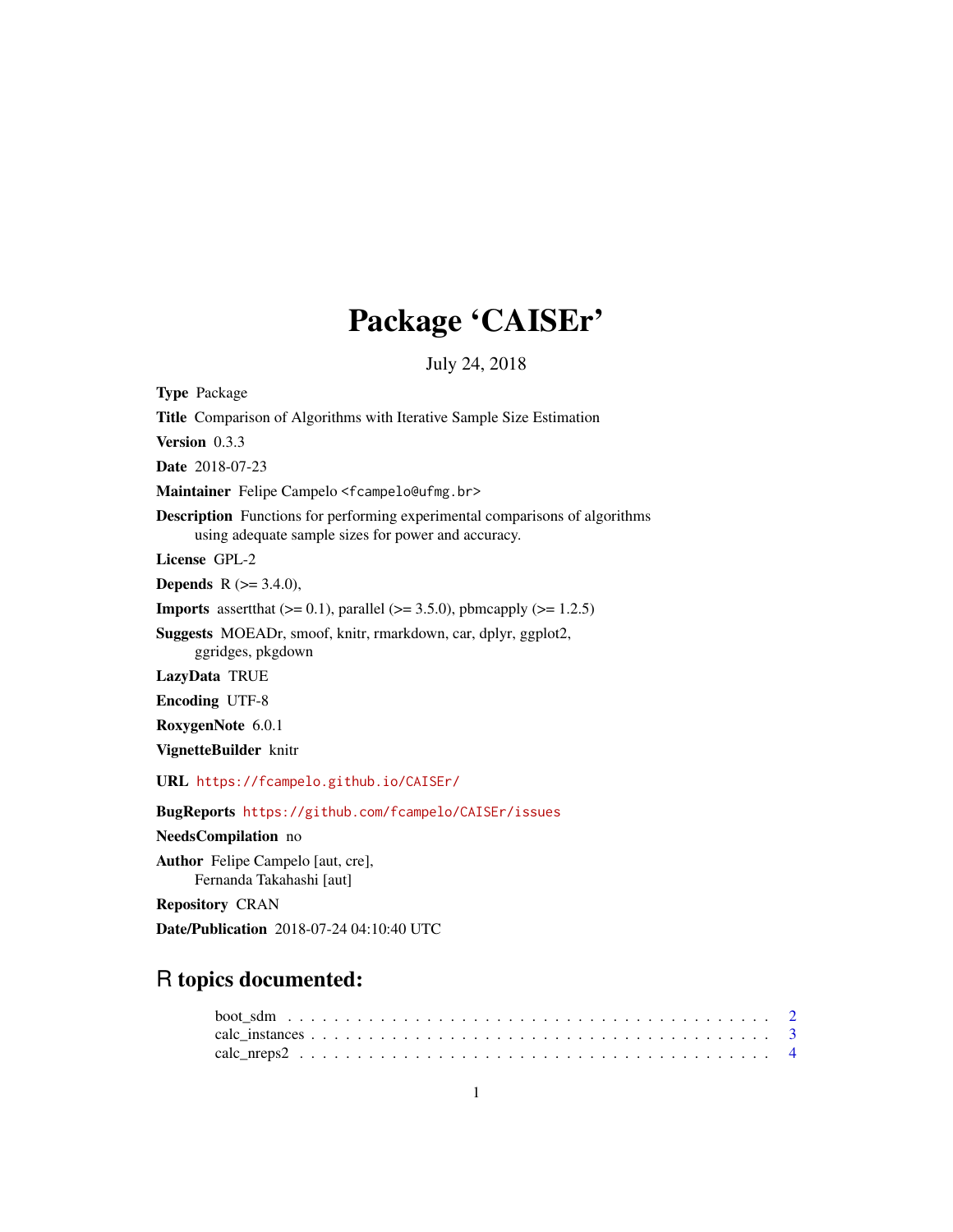# Package 'CAISEr'

July 24, 2018

<span id="page-0-0"></span>Type Package Title Comparison of Algorithms with Iterative Sample Size Estimation Version 0.3.3 Date 2018-07-23 Maintainer Felipe Campelo <fcampelo@ufmg.br> Description Functions for performing experimental comparisons of algorithms using adequate sample sizes for power and accuracy. License GPL-2 **Depends** R  $(>= 3.4.0)$ , **Imports** assert that  $(>= 0.1)$ , parallel  $(>= 3.5.0)$ , pbmcapply  $(>= 1.2.5)$ Suggests MOEADr, smoof, knitr, rmarkdown, car, dplyr, ggplot2, ggridges, pkgdown LazyData TRUE Encoding UTF-8 RoxygenNote 6.0.1 VignetteBuilder knitr URL <https://fcampelo.github.io/CAISEr/> BugReports <https://github.com/fcampelo/CAISEr/issues> NeedsCompilation no Author Felipe Campelo [aut, cre], Fernanda Takahashi [aut] Repository CRAN

Date/Publication 2018-07-24 04:10:40 UTC

## R topics documented: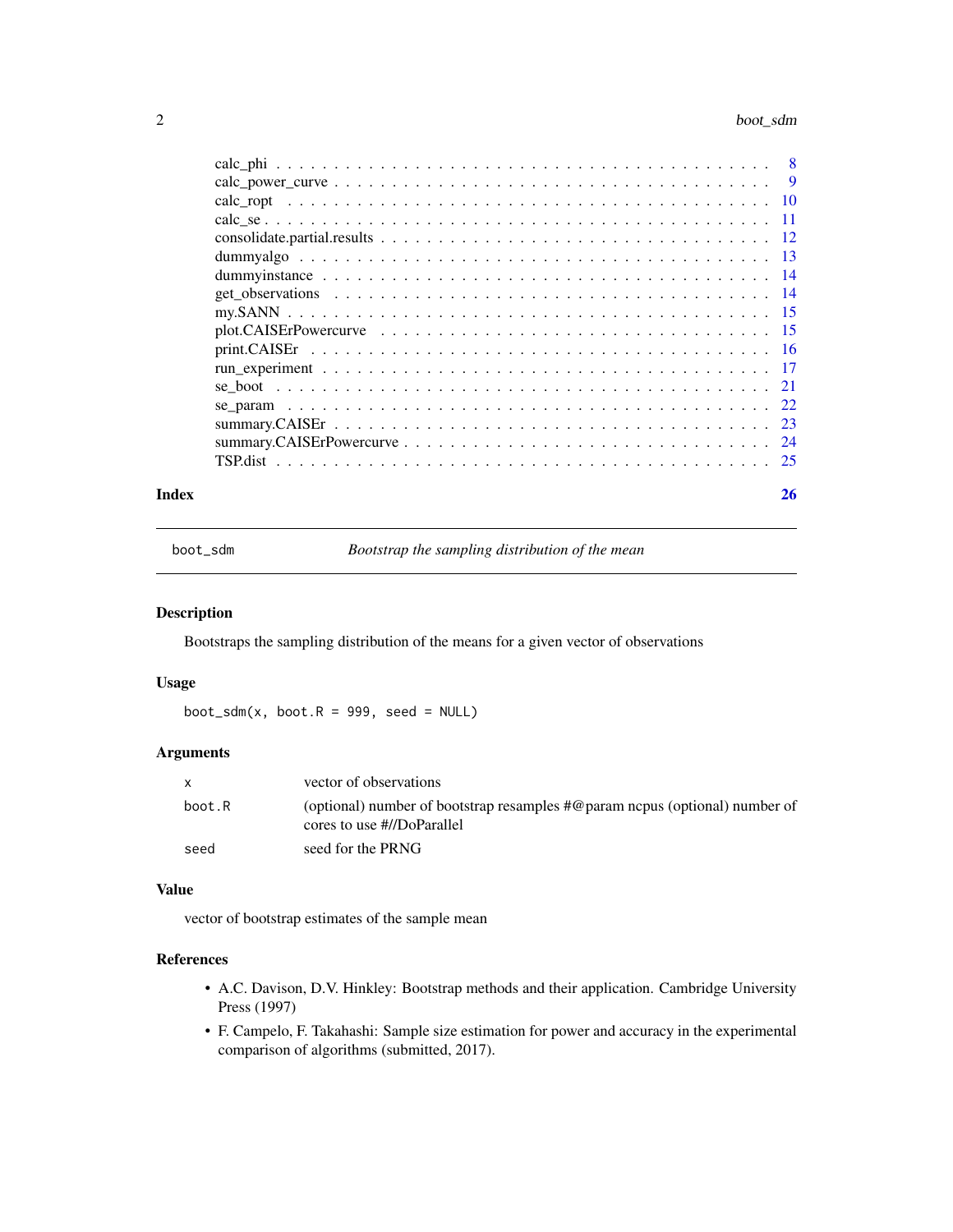#### <span id="page-1-0"></span>2 boot\_sdm

|                                                                                                              | $\overline{9}$ |
|--------------------------------------------------------------------------------------------------------------|----------------|
|                                                                                                              |                |
|                                                                                                              |                |
|                                                                                                              |                |
|                                                                                                              |                |
| dum my instance $\ldots \ldots \ldots \ldots \ldots \ldots \ldots \ldots \ldots \ldots \ldots \ldots \ldots$ |                |
|                                                                                                              |                |
|                                                                                                              |                |
|                                                                                                              |                |
|                                                                                                              |                |
|                                                                                                              |                |
|                                                                                                              |                |
|                                                                                                              |                |
|                                                                                                              |                |
|                                                                                                              |                |
|                                                                                                              |                |
|                                                                                                              |                |

#### **Index** [26](#page-25-0)

boot\_sdm *Bootstrap the sampling distribution of the mean*

## Description

Bootstraps the sampling distribution of the means for a given vector of observations

## Usage

 $boot\_sdm(x, boot.R = 999, seed = NULL)$ 

## Arguments

| $\mathsf{x}$ | vector of observations                                                                                             |
|--------------|--------------------------------------------------------------------------------------------------------------------|
| boot.R       | (optional) number of bootstrap resamples $\#\omega$ param nepus (optional) number of<br>cores to use #//DoParallel |
| seed         | seed for the PRNG                                                                                                  |

## Value

vector of bootstrap estimates of the sample mean

## References

- A.C. Davison, D.V. Hinkley: Bootstrap methods and their application. Cambridge University Press (1997)
- F. Campelo, F. Takahashi: Sample size estimation for power and accuracy in the experimental comparison of algorithms (submitted, 2017).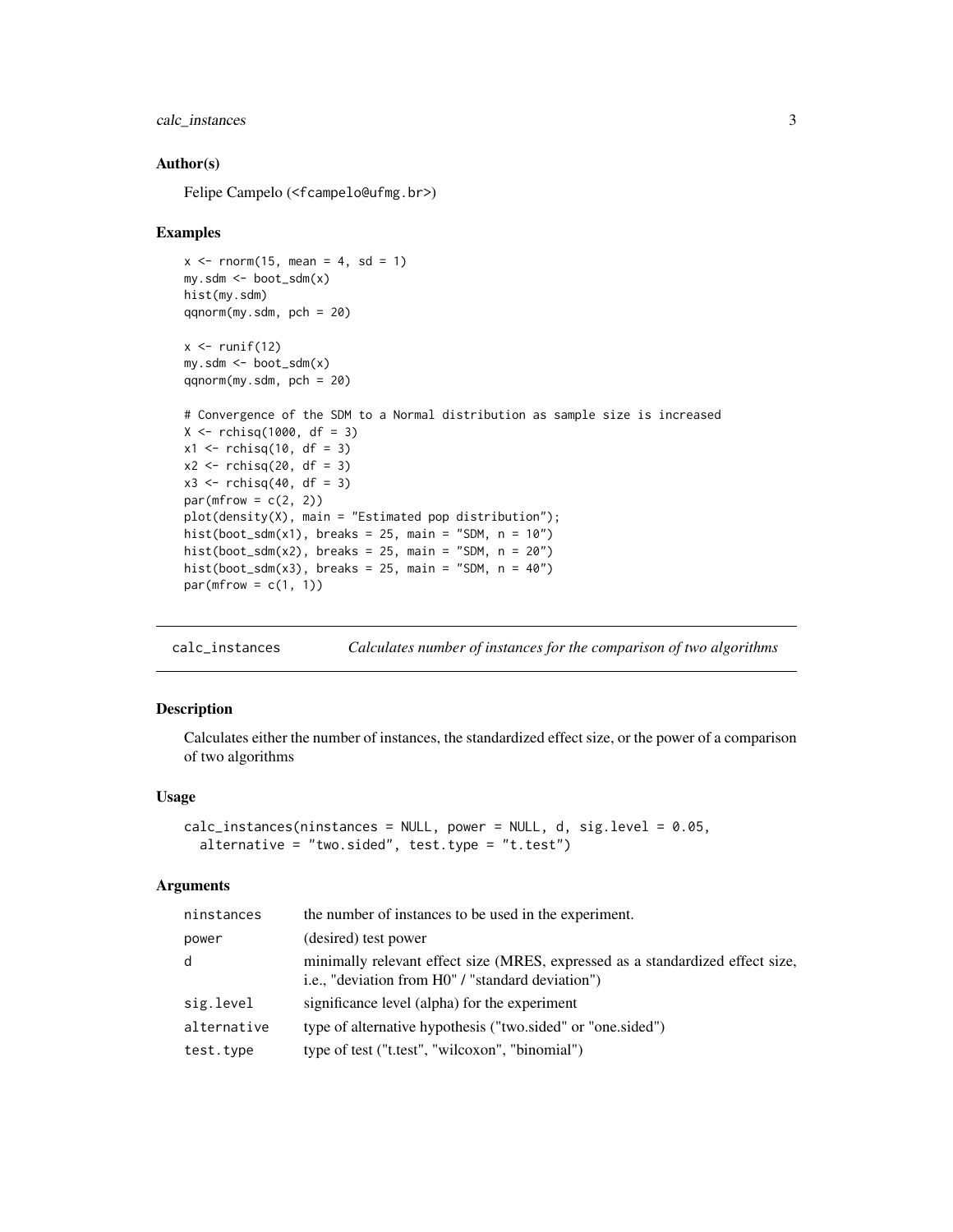## <span id="page-2-0"></span>calc\_instances 3

#### Author(s)

Felipe Campelo (<fcampelo@ufmg.br>)

#### Examples

```
x \le rnorm(15, mean = 4, sd = 1)
my.sdm <- boot_sdm(x)
hist(my.sdm)
qqnorm(my.sdm, pch = 20)
x \leftarrow runif(12)my.sdm <- boot_sdm(x)
qqnorm(my.sdm, pch = 20)
# Convergence of the SDM to a Normal distribution as sample size is increased
X \le - rchisq(1000, df = 3)
x1 \le rchisq(10, df = 3)
x2 \leftarrow rchisq(20, df = 3)
x3 \le rchisq(40, df = 3)
par(mfrow = c(2, 2))plot(density(X), main = "Estimated pop distribution");
hist(boot_sdm(x1), breaks = 25, main = "SDM, n = 10")
hist(boot_sdm(x2), breaks = 25, main = "SDM, n = 20")
hist(boot_sdm(x3), breaks = 25, main = "SDM, n = 40")
par(mfrow = c(1, 1))
```
<span id="page-2-1"></span>calc\_instances *Calculates number of instances for the comparison of two algorithms*

## Description

Calculates either the number of instances, the standardized effect size, or the power of a comparison of two algorithms

## Usage

```
calc_instances(ninstances = NULL, power = NULL, d, sig.level = 0.05,
  alternative = "two.sided", test.type = "t.test")
```

| ninstances  | the number of instances to be used in the experiment.                                                                               |
|-------------|-------------------------------------------------------------------------------------------------------------------------------------|
| power       | (desired) test power                                                                                                                |
| d           | minimally relevant effect size (MRES, expressed as a standardized effect size,<br>i.e., "deviation from H0" / "standard deviation") |
| sig.level   | significance level (alpha) for the experiment                                                                                       |
| alternative | type of alternative hypothesis ("two.sided" or "one.sided")                                                                         |
| test.type   | type of test ("t.test", "wilcoxon", "binomial")                                                                                     |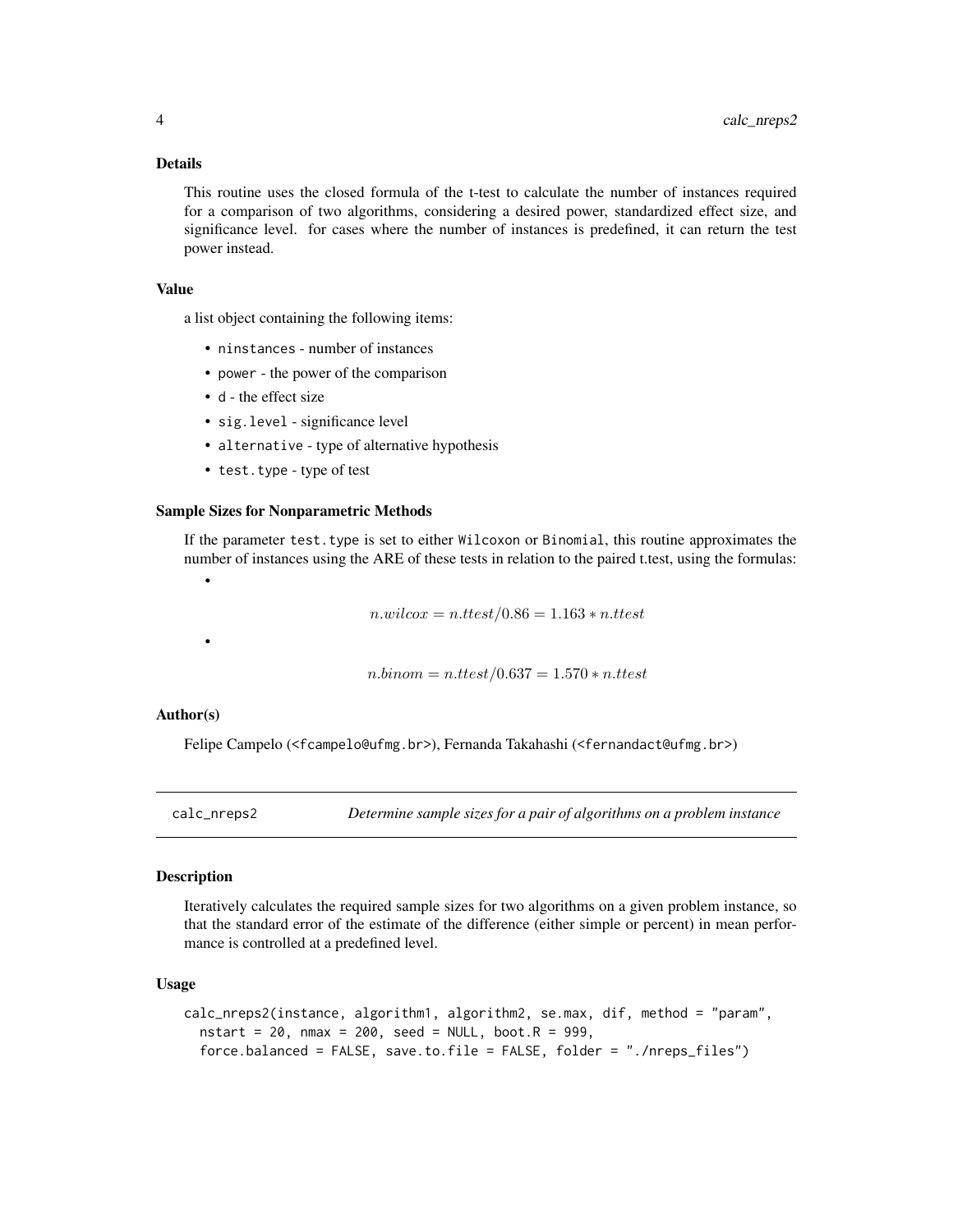## <span id="page-3-0"></span>Details

This routine uses the closed formula of the t-test to calculate the number of instances required for a comparison of two algorithms, considering a desired power, standardized effect size, and significance level. for cases where the number of instances is predefined, it can return the test power instead.

#### Value

a list object containing the following items:

- ninstances number of instances
- power the power of the comparison
- d the effect size
- sig.level significance level
- alternative type of alternative hypothesis
- test.type type of test

#### Sample Sizes for Nonparametric Methods

If the parameter test.type is set to either Wilcoxon or Binomial, this routine approximates the number of instances using the ARE of these tests in relation to the paired t.test, using the formulas:

 $n.wilcox = n.ttest/0.86 = 1.163 * n.ttest$ 

•

•

 $n\cdot binom = n\cdot ttest/0.637 = 1.570 * n\cdot ttest$ 

#### Author(s)

Felipe Campelo (<fcampelo@ufmg.br>), Fernanda Takahashi (<fernandact@ufmg.br>)

<span id="page-3-1"></span>calc\_nreps2 *Determine sample sizes for a pair of algorithms on a problem instance*

#### **Description**

Iteratively calculates the required sample sizes for two algorithms on a given problem instance, so that the standard error of the estimate of the difference (either simple or percent) in mean performance is controlled at a predefined level.

#### Usage

```
calc_nreps2(instance, algorithm1, algorithm2, se.max, dif, method = "param",
  nstart = 20, nmax = 200, seed = NULL, boot.R = 999,
  force.balanced = FALSE, save.to.file = FALSE, folder = "./nreps_files")
```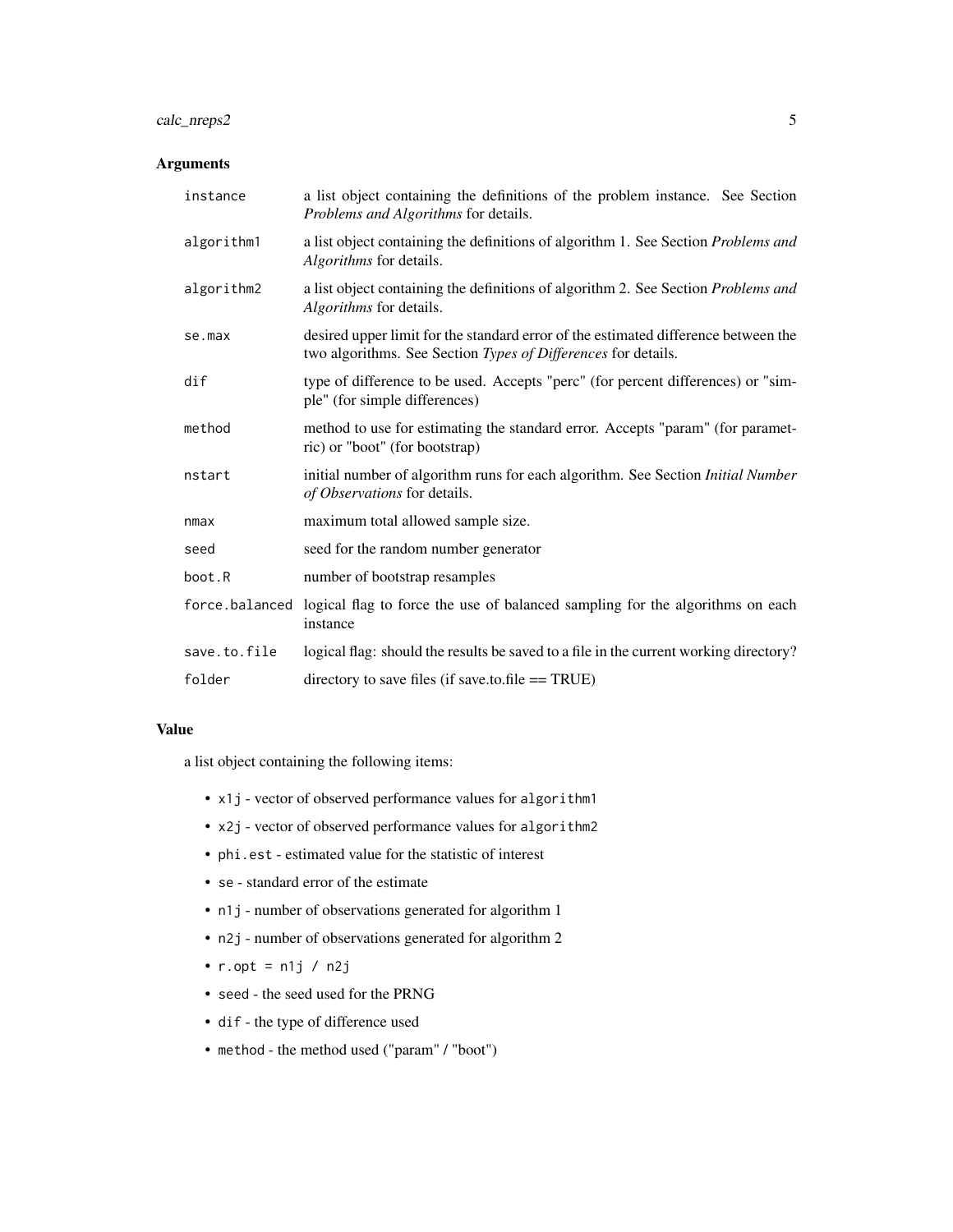## calc\_nreps2 5

## Arguments

| instance     | a list object containing the definitions of the problem instance. See Section<br>Problems and Algorithms for details.                               |
|--------------|-----------------------------------------------------------------------------------------------------------------------------------------------------|
| algorithm1   | a list object containing the definitions of algorithm 1. See Section Problems and<br>Algorithms for details.                                        |
| algorithm2   | a list object containing the definitions of algorithm 2. See Section Problems and<br>Algorithms for details.                                        |
| se.max       | desired upper limit for the standard error of the estimated difference between the<br>two algorithms. See Section Types of Differences for details. |
| dif          | type of difference to be used. Accepts "perc" (for percent differences) or "sim-<br>ple" (for simple differences)                                   |
| method       | method to use for estimating the standard error. Accepts "param" (for paramet-<br>ric) or "boot" (for bootstrap)                                    |
| nstart       | initial number of algorithm runs for each algorithm. See Section Initial Number<br>of Observations for details.                                     |
| nmax         | maximum total allowed sample size.                                                                                                                  |
| seed         | seed for the random number generator                                                                                                                |
| boot.R       | number of bootstrap resamples                                                                                                                       |
|              | force balanced logical flag to force the use of balanced sampling for the algorithms on each<br>instance                                            |
| save.to.file | logical flag: should the results be saved to a file in the current working directory?                                                               |
| folder       | directory to save files (if save.to.file $==$ TRUE)                                                                                                 |

## Value

a list object containing the following items:

- x1j vector of observed performance values for algorithm1
- x2j vector of observed performance values for algorithm2
- phi.est estimated value for the statistic of interest
- se standard error of the estimate
- n1j number of observations generated for algorithm 1
- n2j number of observations generated for algorithm 2
- $r.$ opt =  $n1j / n2j$
- seed the seed used for the PRNG
- dif the type of difference used
- method the method used ("param" / "boot")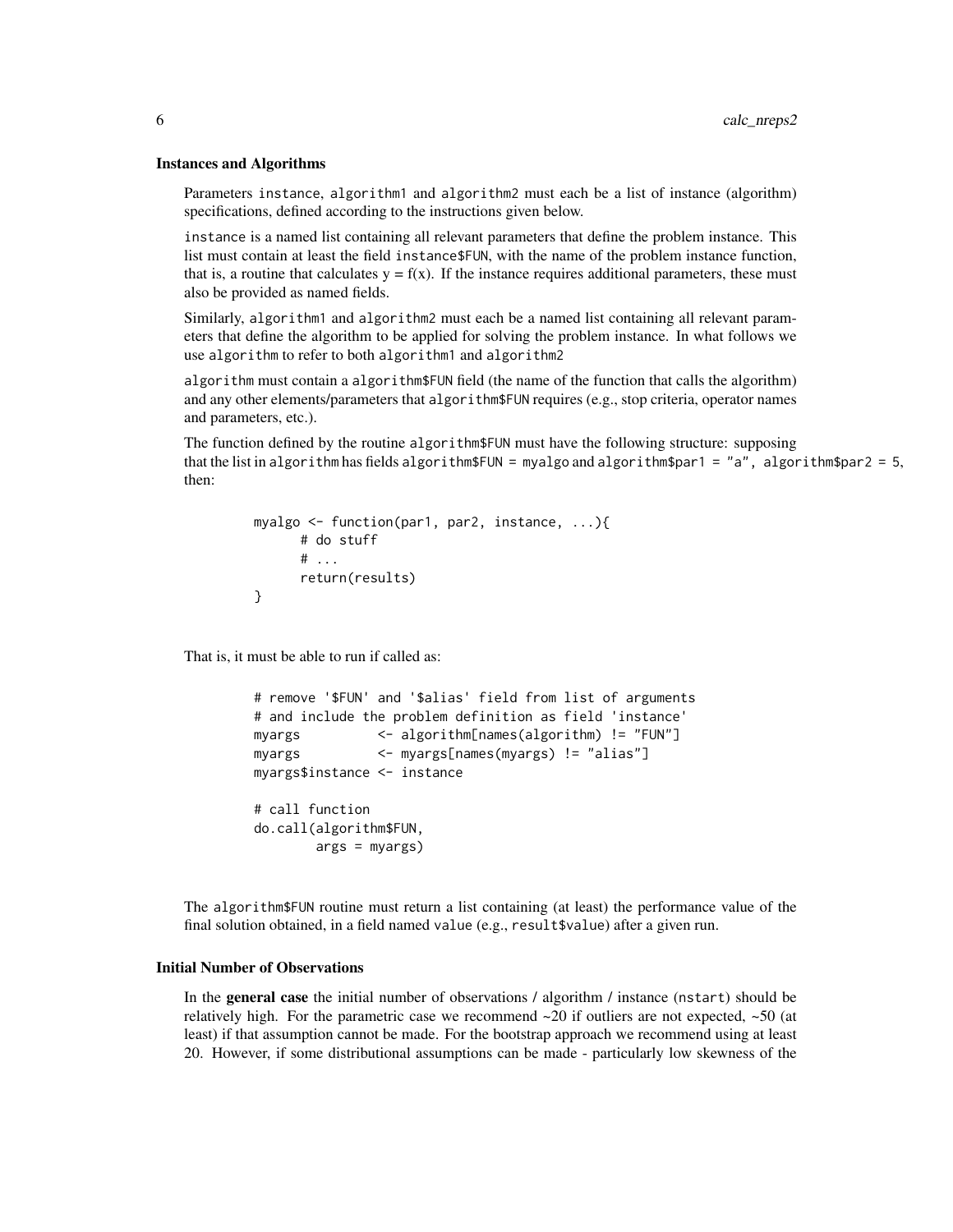#### Instances and Algorithms

Parameters instance, algorithm1 and algorithm2 must each be a list of instance (algorithm) specifications, defined according to the instructions given below.

instance is a named list containing all relevant parameters that define the problem instance. This list must contain at least the field instance\$FUN, with the name of the problem instance function, that is, a routine that calculates  $y = f(x)$ . If the instance requires additional parameters, these must also be provided as named fields.

Similarly, algorithm1 and algorithm2 must each be a named list containing all relevant parameters that define the algorithm to be applied for solving the problem instance. In what follows we use algorithm to refer to both algorithm1 and algorithm2

algorithm must contain a algorithm\$FUN field (the name of the function that calls the algorithm) and any other elements/parameters that algorithm\$FUN requires (e.g., stop criteria, operator names and parameters, etc.).

The function defined by the routine algorithm\$FUN must have the following structure: supposing that the list in algorithm has fields algorithm\$FUN = myalgo and algorithm\$par1 = "a", algorithm\$par2 = 5, then:

```
myalgo <- function(par1, par2, instance, ...){
      # do stuff
      # ...
      return(results)
}
```
That is, it must be able to run if called as:

```
# remove '$FUN' and '$alias' field from list of arguments
# and include the problem definition as field 'instance'
myargs <- algorithm[names(algorithm) != "FUN"]
myargs <- myargs[names(myargs) != "alias"]
myargs$instance <- instance
# call function
do.call(algorithm$FUN,
       args = myargs)
```
The algorithm\$FUN routine must return a list containing (at least) the performance value of the final solution obtained, in a field named value (e.g., result\$value) after a given run.

## Initial Number of Observations

In the **general case** the initial number of observations / algorithm / instance (nstart) should be relatively high. For the parametric case we recommend  $\sim$ 20 if outliers are not expected,  $\sim$ 50 (at least) if that assumption cannot be made. For the bootstrap approach we recommend using at least 20. However, if some distributional assumptions can be made - particularly low skewness of the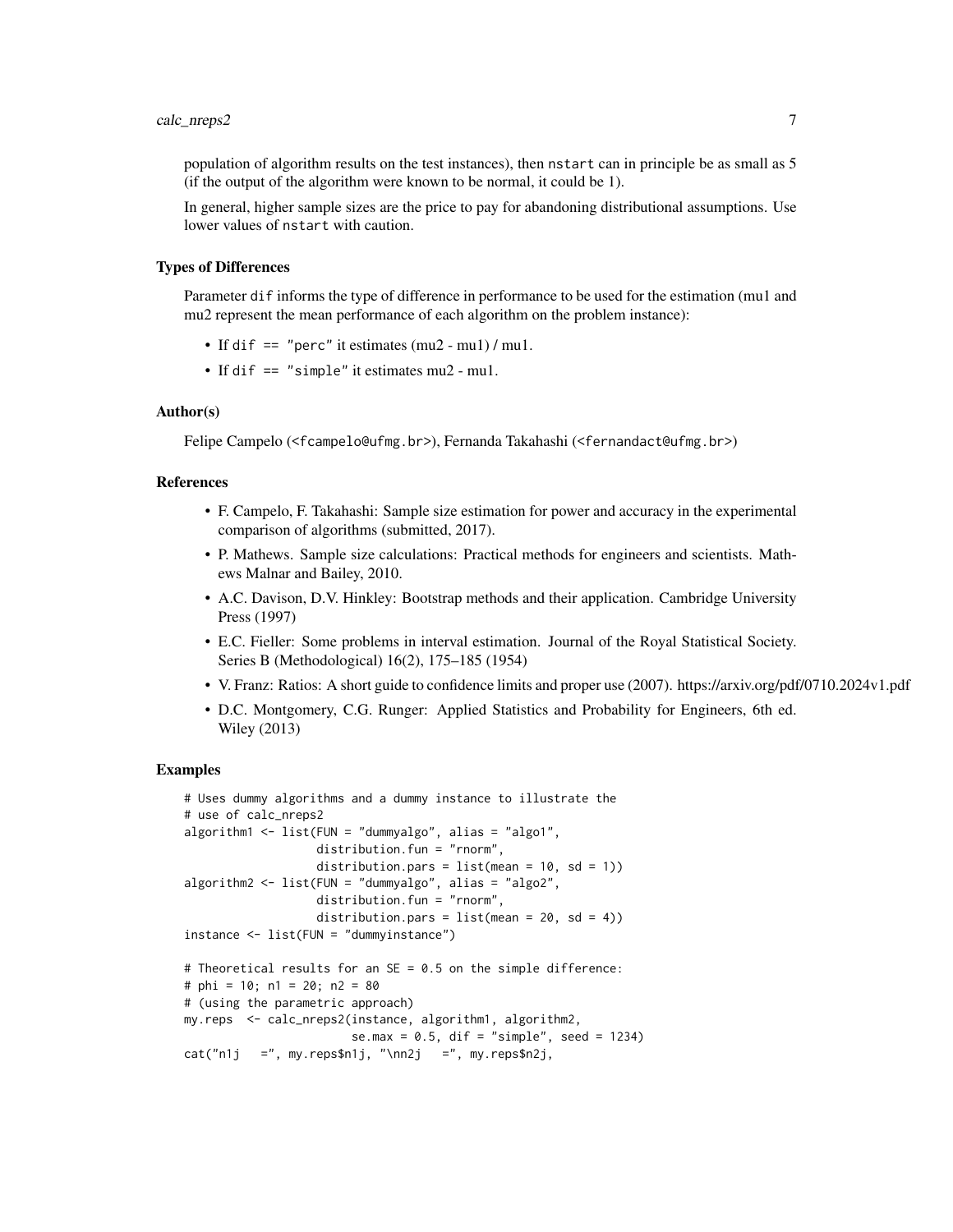## calc\_nreps2 7

population of algorithm results on the test instances), then nstart can in principle be as small as 5 (if the output of the algorithm were known to be normal, it could be 1).

In general, higher sample sizes are the price to pay for abandoning distributional assumptions. Use lower values of nstart with caution.

#### Types of Differences

Parameter dif informs the type of difference in performance to be used for the estimation (mu1 and mu2 represent the mean performance of each algorithm on the problem instance):

- If dif == "perc" it estimates (mu2 mu1) / mu1.
- If dif == "simple" it estimates mu2 mu1.

## Author(s)

Felipe Campelo (<fcampelo@ufmg.br>), Fernanda Takahashi (<fernandact@ufmg.br>)

#### References

- F. Campelo, F. Takahashi: Sample size estimation for power and accuracy in the experimental comparison of algorithms (submitted, 2017).
- P. Mathews. Sample size calculations: Practical methods for engineers and scientists. Mathews Malnar and Bailey, 2010.
- A.C. Davison, D.V. Hinkley: Bootstrap methods and their application. Cambridge University Press (1997)
- E.C. Fieller: Some problems in interval estimation. Journal of the Royal Statistical Society. Series B (Methodological) 16(2), 175–185 (1954)
- V. Franz: Ratios: A short guide to confidence limits and proper use (2007). https://arxiv.org/pdf/0710.2024v1.pdf
- D.C. Montgomery, C.G. Runger: Applied Statistics and Probability for Engineers, 6th ed. Wiley (2013)

#### Examples

```
# Uses dummy algorithms and a dummy instance to illustrate the
# use of calc_nreps2
algorithm1 <- list(FUN = "dummyalgo", alias = "algo1",
                   distribution.fun = "rnorm",
                   distribution.pars = list(mean = 10, sd = 1))algorithm2 <- list(FUN = "dummyalgo", alias = "algo2",
                  distribution.fun = "rnorm",
                   distribution.pars = list(mean = 20, sd = 4)instance <- list(FUN = "dummyinstance")
# Theoretical results for an SE = 0.5 on the simple difference:
# phi = 10; n1 = 20; n2 = 80
# (using the parametric approach)
my.reps <- calc_nreps2(instance, algorithm1, algorithm2,
                       se.max = 0.5, dif = "simple", seed = 1234)
cat("n1j =", my.repssn1j, "\\nn2j =", my.repssn2j,
```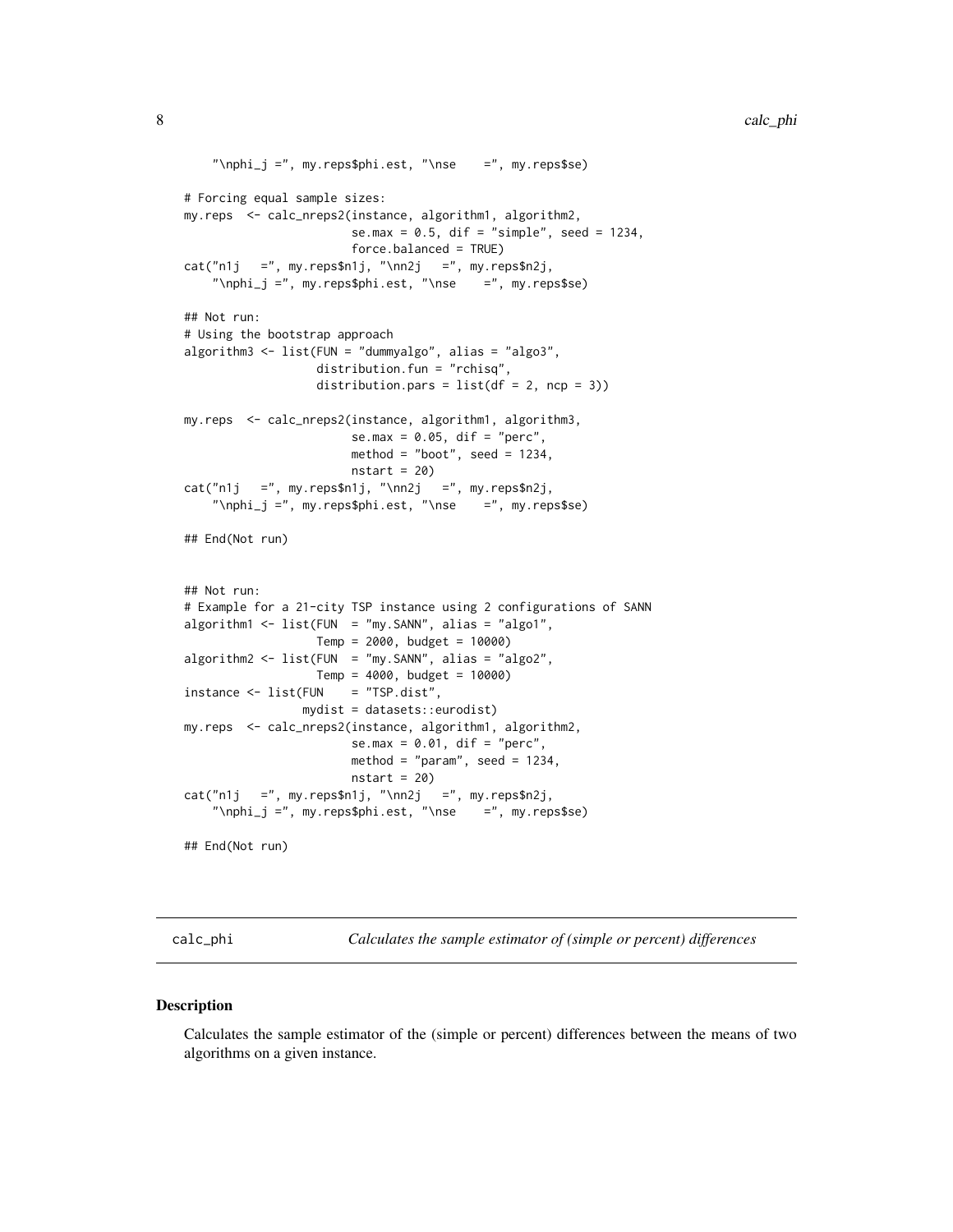```
"\nphi_j =", my.reps$phi.est, "\nse =", my.reps$se)
# Forcing equal sample sizes:
my.reps <- calc_nreps2(instance, algorithm1, algorithm2,
                       se.max = 0.5, dif = "simple", seed = 1234,
                       force.balanced = TRUE)
cat("n1j =", my.repssn1j, "\\nn2j =", my.repssn2j,"\nphi_j =", my.reps$phi.est, "\nse =", my.reps$se)
## Not run:
# Using the bootstrap approach
algorithm3 <- list(FUN = "dummyalgo", alias = "algo3",
                  distribution.fun = "rchisq",
                  distribution.pars = list(df = 2, ncp = 3))my.reps <- calc_nreps2(instance, algorithm1, algorithm3,
                       se.max = 0.05, dif = "perc",
                       method = "boot", seed = 1234,nstart = 20cat("n1j =", my.repssn1j, "\\nn2j =", my.repssn2j,"\nphi_j =", my.reps$phi.est, "\nse =", my.reps$se)
## End(Not run)
## Not run:
# Example for a 21-city TSP instance using 2 configurations of SANN
algorithm1 <- list(FUN = "my.SANN", alias = "algo1",
                  Temp = 2000, budget = 10000)
algorithm2 <- list(FUN = "my.SANN", alias = "algo2",
                  Temp = 4000, budget = 10000)
instance < - list(FUN = "TSP.dist",mydist = datasets::eurodist)
my.reps <- calc_nreps2(instance, algorithm1, algorithm2,
                       se.max = 0.01, dif = "perc",
                       method = "param", seed = 1234,
                       nstart = 20cat("n1j =", my.reps$n1j, "\\nn2j =", my.reps$n2j,"\nphi_j =", my.reps$phi.est, "\nse =", my.reps$se)
## End(Not run)
```
calc\_phi *Calculates the sample estimator of (simple or percent) differences*

#### **Description**

Calculates the sample estimator of the (simple or percent) differences between the means of two algorithms on a given instance.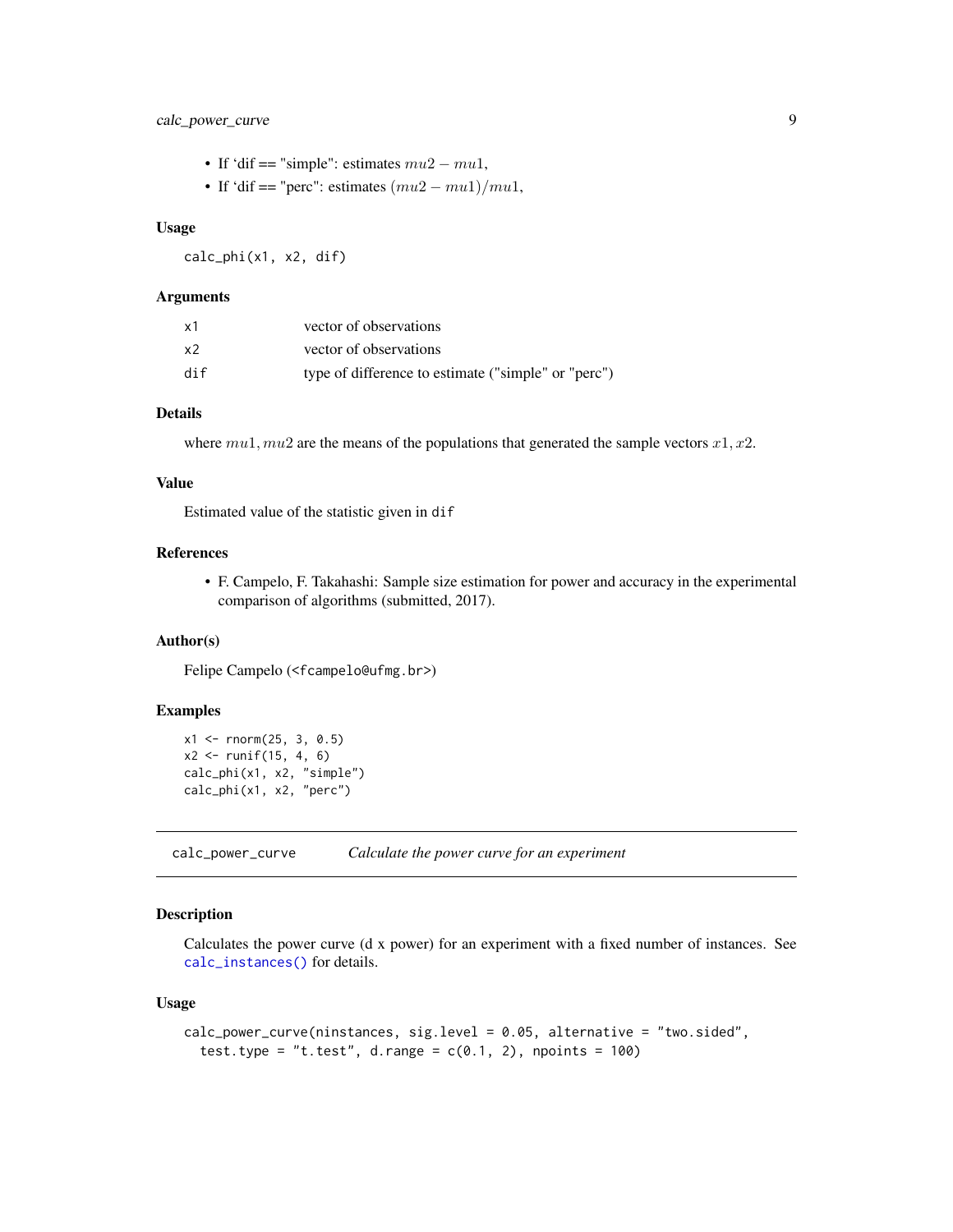## <span id="page-8-0"></span>calc\_power\_curve 9

- If 'dif == "simple": estimates  $mu2 mu1$ ,
- If 'dif == "perc": estimates  $(mu2 mu1)/mu1$ ,

#### Usage

calc\_phi(x1, x2, dif)

#### Arguments

| x1  | vector of observations                              |
|-----|-----------------------------------------------------|
| x2  | vector of observations                              |
| dif | type of difference to estimate ("simple" or "perc") |

#### Details

where  $mu1, mu2$  are the means of the populations that generated the sample vectors  $x1, x2$ .

#### Value

Estimated value of the statistic given in dif

#### References

• F. Campelo, F. Takahashi: Sample size estimation for power and accuracy in the experimental comparison of algorithms (submitted, 2017).

## Author(s)

Felipe Campelo (<fcampelo@ufmg.br>)

## Examples

```
x1 \le - rnorm(25, 3, 0.5)
x2 \le runif(15, 4, 6)
calc_phi(x1, x2, "simple")
calc_phi(x1, x2, "perc")
```
<span id="page-8-1"></span>calc\_power\_curve *Calculate the power curve for an experiment*

## Description

Calculates the power curve (d x power) for an experiment with a fixed number of instances. See [calc\\_instances\(\)](#page-2-1) for details.

#### Usage

```
calc_power_curve(ninstances, sig.level = 0.05, alternative = "two.sided",
  test.type = "t.test", d.range = c(0.1, 2), npoints = 100)
```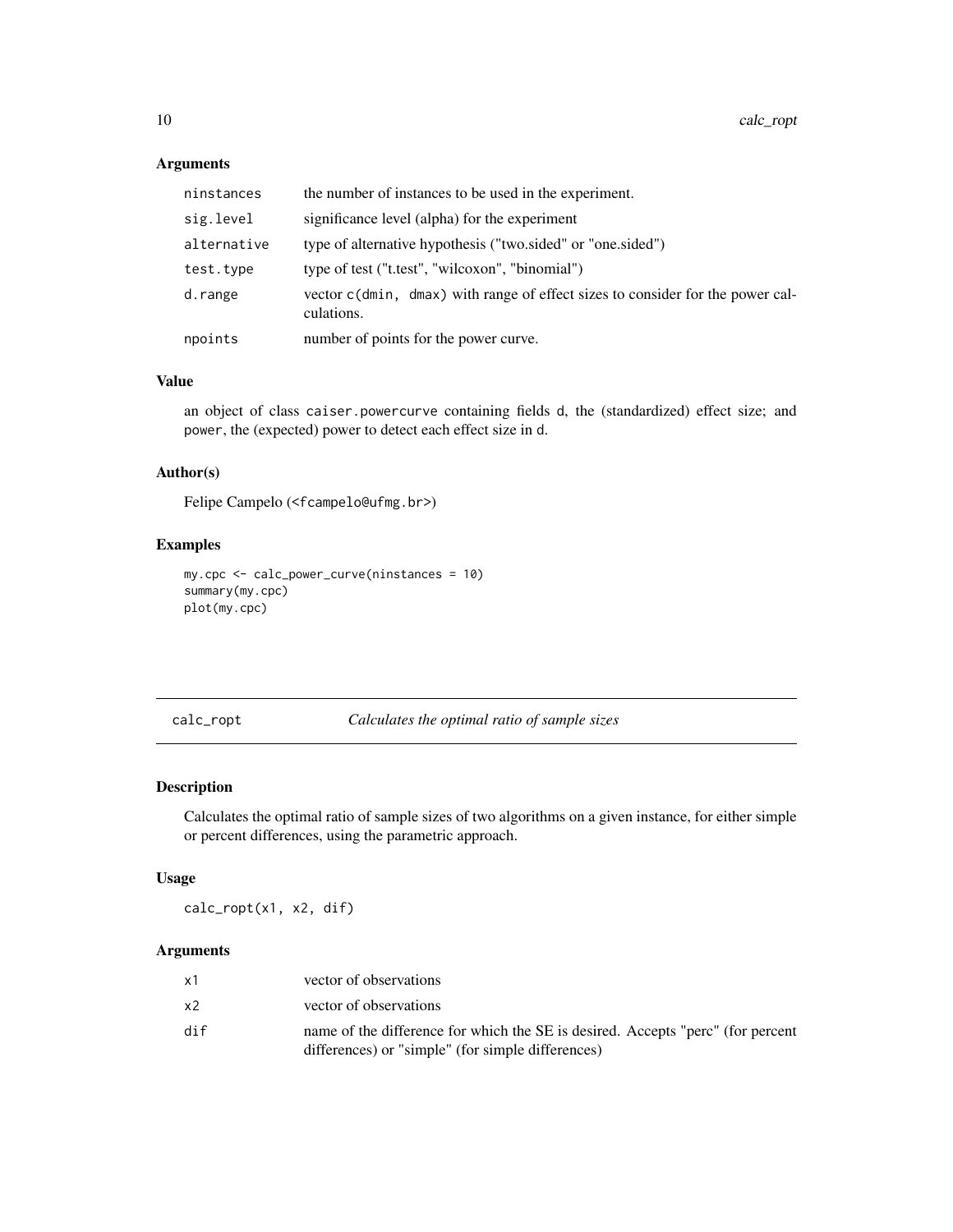## Arguments

| ninstances  | the number of instances to be used in the experiment.                                        |
|-------------|----------------------------------------------------------------------------------------------|
| sig.level   | significance level (alpha) for the experiment                                                |
| alternative | type of alternative hypothesis ("two.sided" or "one.sided")                                  |
| test.type   | type of test ("t.test", "wilcoxon", "binomial")                                              |
| d.range     | vector c(dmin, dmax) with range of effect sizes to consider for the power cal-<br>culations. |
| npoints     | number of points for the power curve.                                                        |

#### Value

an object of class caiser.powercurve containing fields d, the (standardized) effect size; and power, the (expected) power to detect each effect size in d.

## Author(s)

Felipe Campelo (<fcampelo@ufmg.br>)

#### Examples

```
my.cpc <- calc_power_curve(ninstances = 10)
summary(my.cpc)
plot(my.cpc)
```
calc\_ropt *Calculates the optimal ratio of sample sizes*

## Description

Calculates the optimal ratio of sample sizes of two algorithms on a given instance, for either simple or percent differences, using the parametric approach.

## Usage

calc\_ropt(x1, x2, dif)

| x1  | vector of observations                                                                                                               |
|-----|--------------------------------------------------------------------------------------------------------------------------------------|
| x2  | vector of observations                                                                                                               |
| dif | name of the difference for which the SE is desired. Accepts "perc" (for percent<br>differences) or "simple" (for simple differences) |

<span id="page-9-0"></span>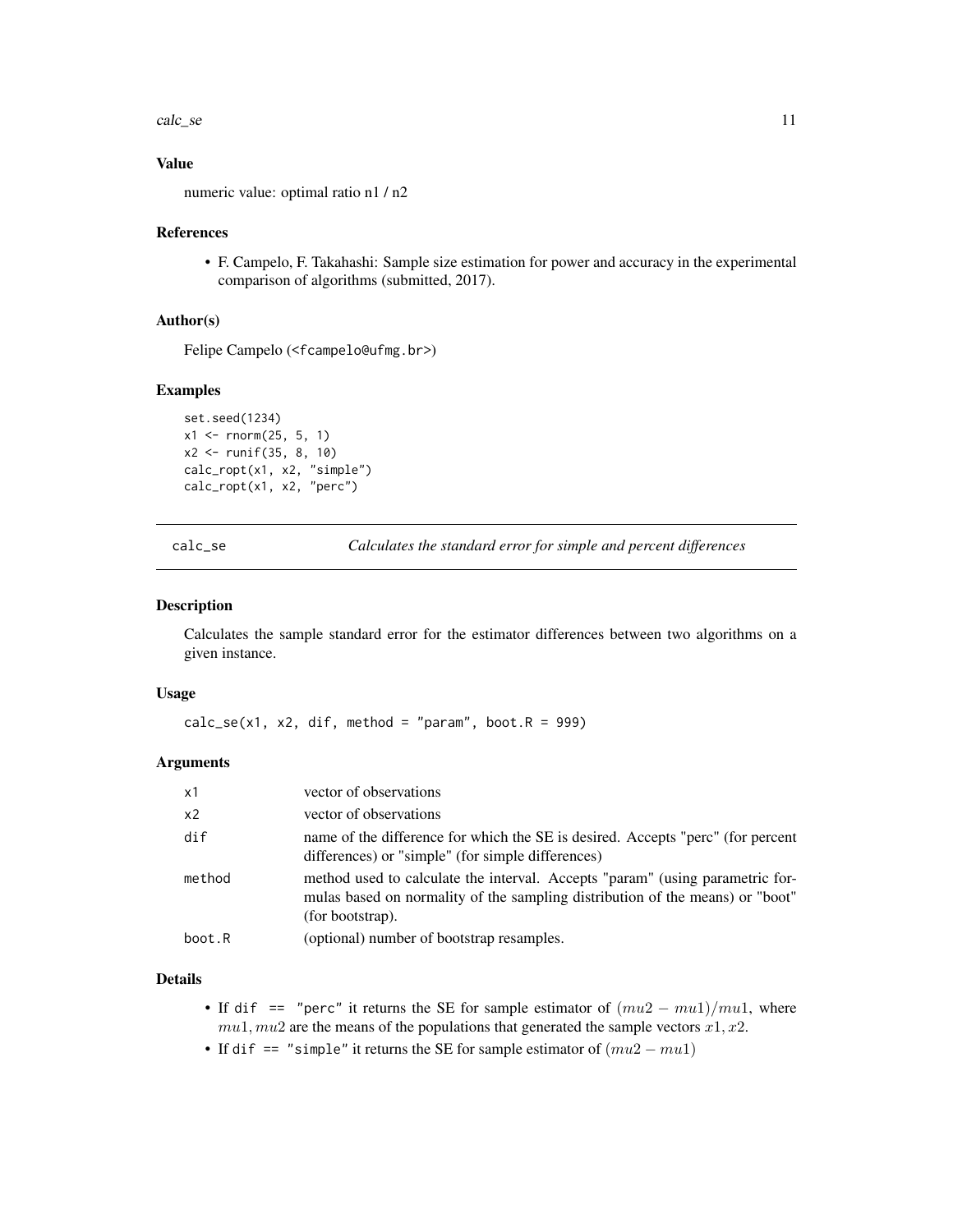<span id="page-10-0"></span>calc\_se 11

## Value

numeric value: optimal ratio n1 / n2

#### References

• F. Campelo, F. Takahashi: Sample size estimation for power and accuracy in the experimental comparison of algorithms (submitted, 2017).

#### Author(s)

Felipe Campelo (<fcampelo@ufmg.br>)

#### Examples

```
set.seed(1234)
x1 \le rnorm(25, 5, 1)
x2 <- runif(35, 8, 10)
calc_ropt(x1, x2, "simple")
calc_ropt(x1, x2, "perc")
```
calc\_se *Calculates the standard error for simple and percent differences*

#### Description

Calculates the sample standard error for the estimator differences between two algorithms on a given instance.

#### Usage

```
calc\_se(x1, x2, dif, method = "param", boot.R = 999)
```
#### Arguments

| $\times$ 1 | vector of observations                                                                                                                                                             |
|------------|------------------------------------------------------------------------------------------------------------------------------------------------------------------------------------|
| x2         | vector of observations                                                                                                                                                             |
| dif        | name of the difference for which the SE is desired. Accepts "perc" (for percent<br>differences) or "simple" (for simple differences)                                               |
| method     | method used to calculate the interval. Accepts "param" (using parametric for-<br>mulas based on normality of the sampling distribution of the means) or "boot"<br>(for bootstrap). |
| boot.R     | (optional) number of bootstrap resamples.                                                                                                                                          |

## Details

- If dif == "perc" it returns the SE for sample estimator of  $(mu2 mu1)/mu1$ , where  $mu1, mu2$  are the means of the populations that generated the sample vectors  $x1, x2$ .
- If dif == "simple" it returns the SE for sample estimator of  $(mu2 mu1)$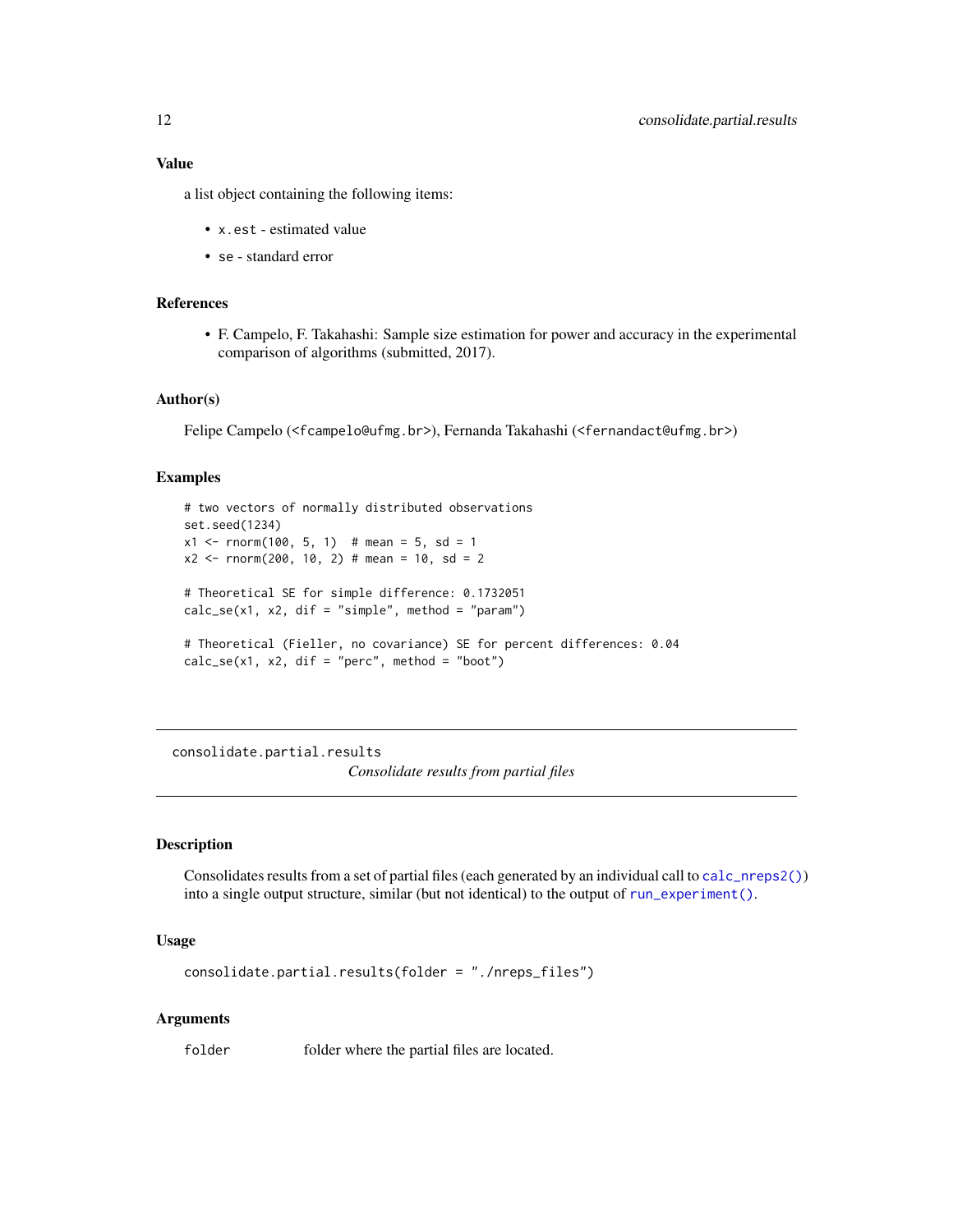<span id="page-11-0"></span>a list object containing the following items:

- x.est estimated value
- se standard error

#### References

• F. Campelo, F. Takahashi: Sample size estimation for power and accuracy in the experimental comparison of algorithms (submitted, 2017).

#### Author(s)

Felipe Campelo (<fcampelo@ufmg.br>), Fernanda Takahashi (<fernandact@ufmg.br>)

## Examples

```
# two vectors of normally distributed observations
set.seed(1234)
x1 \le - rnorm(100, 5, 1) # mean = 5, sd = 1
x2 \le rnorm(200, 10, 2) # mean = 10, sd = 2
# Theoretical SE for simple difference: 0.1732051
calc\_se(x1, x2, dif = "simple", method = "param")# Theoretical (Fieller, no covariance) SE for percent differences: 0.04
calc\_se(x1, x2, dif = "perc", method = "boot")
```
consolidate.partial.results *Consolidate results from partial files*

#### Description

Consolidates results from a set of partial files (each generated by an individual call to [calc\\_nreps2\(\)](#page-3-1)) into a single output structure, similar (but not identical) to the output of [run\\_experiment\(\)](#page-16-1).

#### Usage

```
consolidate.partial.results(folder = "./nreps_files")
```
#### Arguments

folder folder where the partial files are located.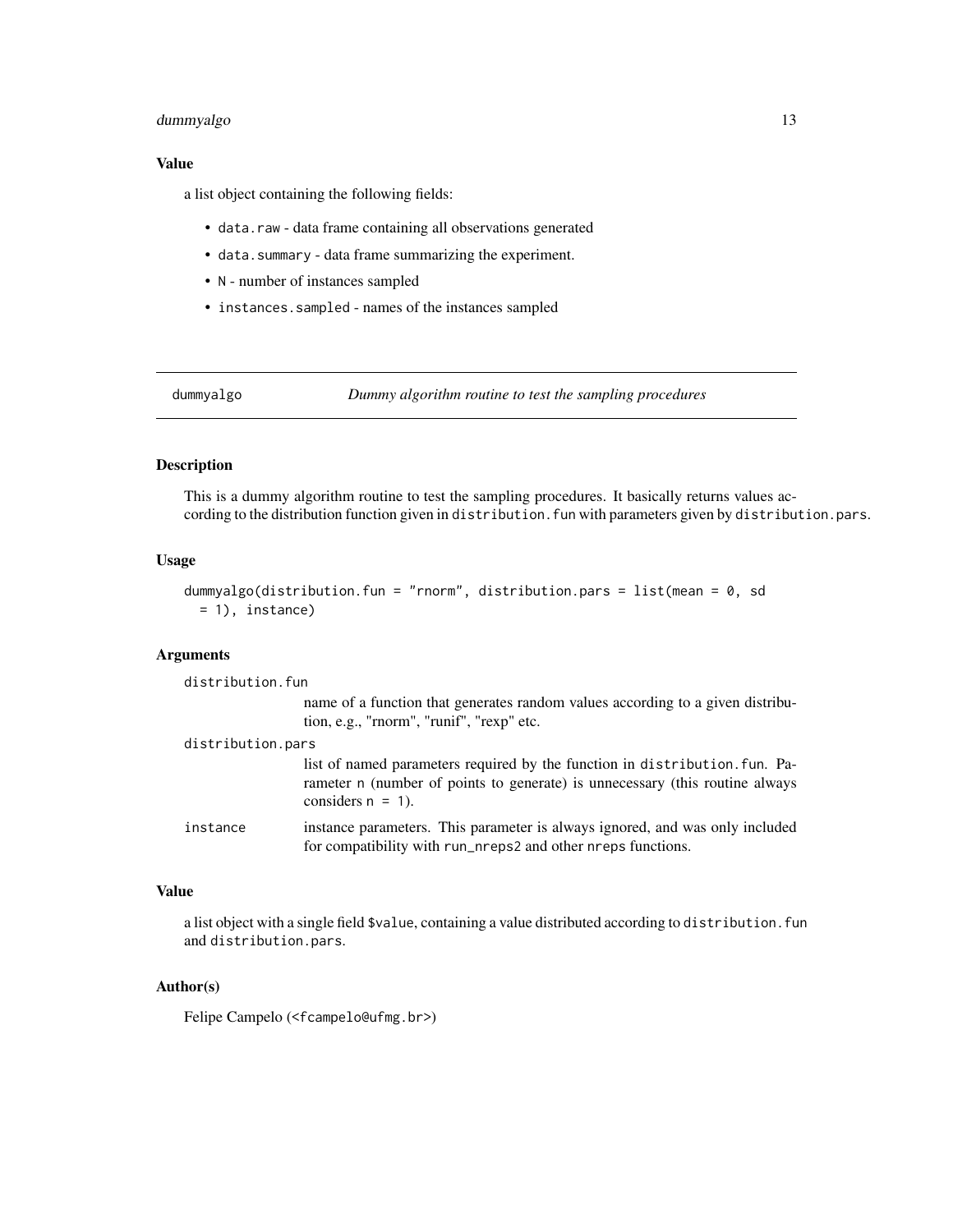## <span id="page-12-0"></span>dummyalgo 13

#### Value

a list object containing the following fields:

- data.raw data frame containing all observations generated
- data.summary data frame summarizing the experiment.
- N number of instances sampled
- instances.sampled names of the instances sampled

dummyalgo *Dummy algorithm routine to test the sampling procedures*

#### Description

This is a dummy algorithm routine to test the sampling procedures. It basically returns values according to the distribution function given in distribution. fun with parameters given by distribution.pars.

#### Usage

```
dummyalgo(distribution.fun = "rnorm", distribution.pars = list(mean = 0, sd
 = 1), instance)
```
#### Arguments

| distribution.fun  |                                                                                                                                                                                     |
|-------------------|-------------------------------------------------------------------------------------------------------------------------------------------------------------------------------------|
|                   | name of a function that generates random values according to a given distribu-<br>tion, e.g., "rnorm", "runif", "rexp" etc.                                                         |
| distribution.pars |                                                                                                                                                                                     |
|                   | list of named parameters required by the function in distribution. Fun. Pa-<br>rameter n (number of points to generate) is unnecessary (this routine always<br>considers $n = 1$ ). |
| instance          | instance parameters. This parameter is always ignored, and was only included<br>for compatibility with run_nreps2 and other nreps functions.                                        |

## Value

a list object with a single field \$value, containing a value distributed according to distribution. fun and distribution.pars.

#### Author(s)

Felipe Campelo (<fcampelo@ufmg.br>)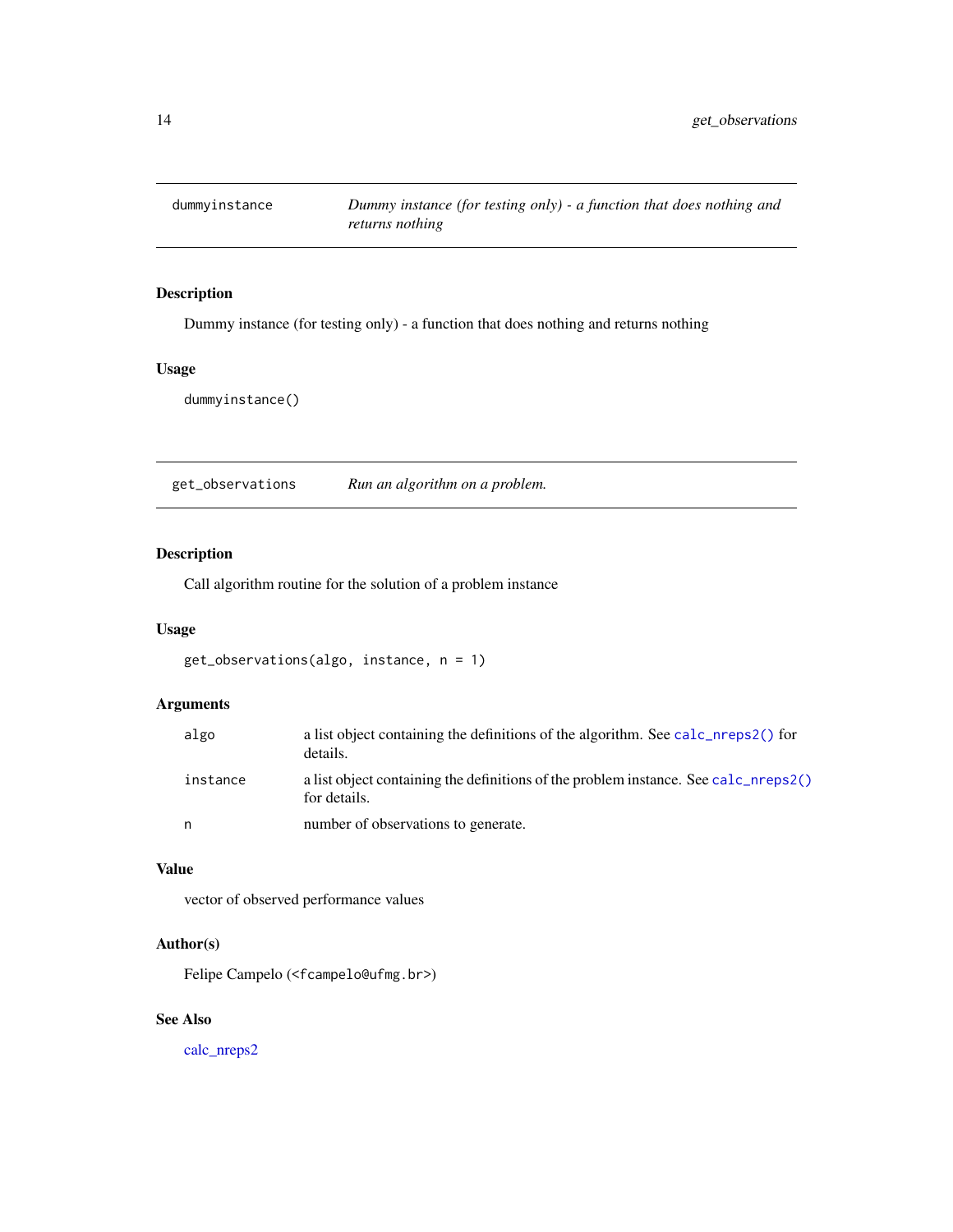<span id="page-13-0"></span>

## Description

Dummy instance (for testing only) - a function that does nothing and returns nothing

#### Usage

dummyinstance()

get\_observations *Run an algorithm on a problem.*

## Description

Call algorithm routine for the solution of a problem instance

#### Usage

```
get_observations(algo, instance, n = 1)
```
## Arguments

| algo     | a list object containing the definitions of the algorithm. See calc_nreps2() for<br>details.        |
|----------|-----------------------------------------------------------------------------------------------------|
| instance | a list object containing the definitions of the problem instance. See calc_nreps2()<br>for details. |
| n        | number of observations to generate.                                                                 |

## Value

vector of observed performance values

## Author(s)

Felipe Campelo (<fcampelo@ufmg.br>)

## See Also

[calc\\_nreps2](#page-3-1)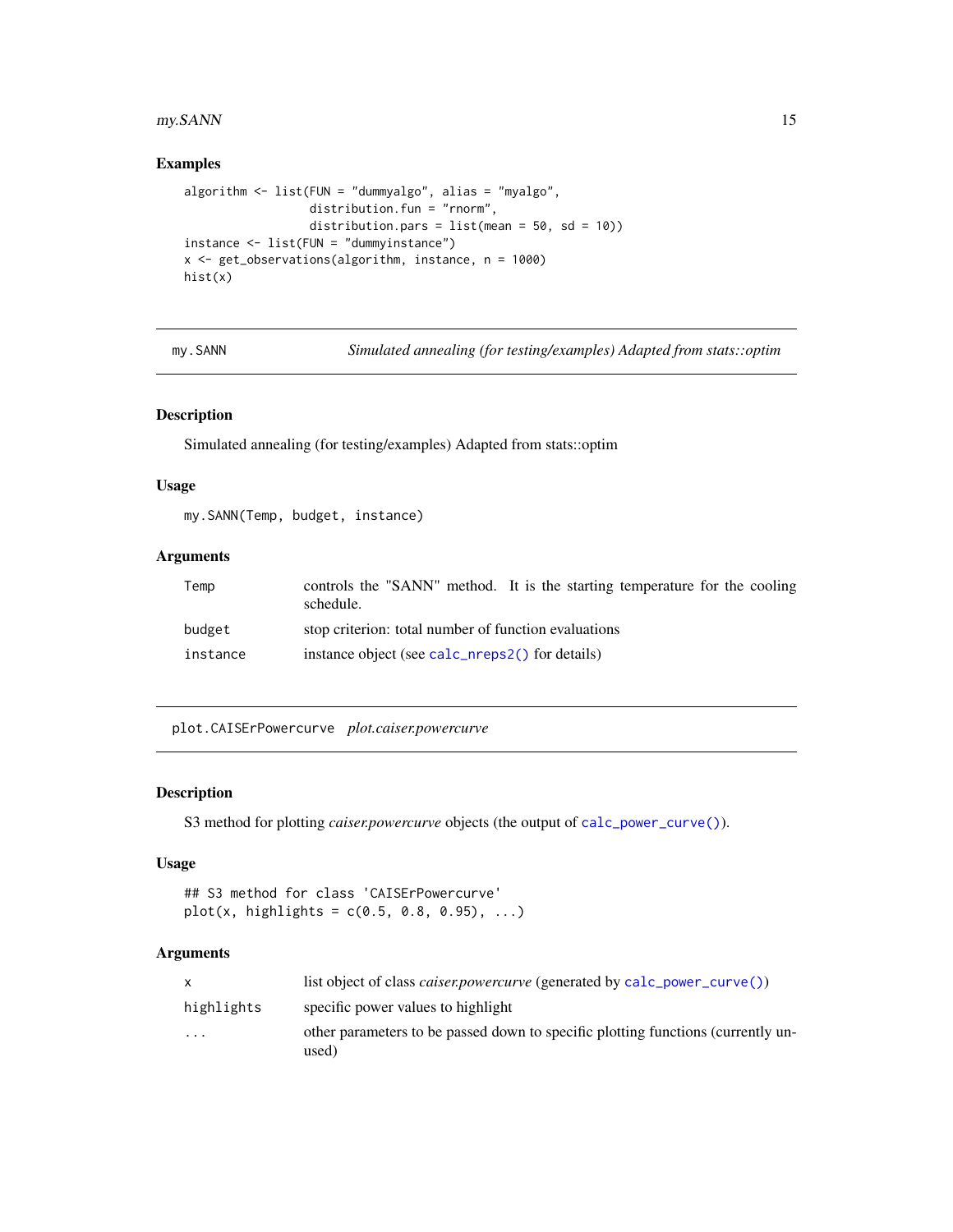## <span id="page-14-0"></span>my.SANN 15

## Examples

```
algorithm <- list(FUN = "dummyalgo", alias = "myalgo",
                  distribution.fun = "rnorm",
                  distribution.pars = list(mean = 50, sd = 10))instance <- list(FUN = "dummyinstance")
x <- get_observations(algorithm, instance, n = 1000)
hist(x)
```
my.SANN *Simulated annealing (for testing/examples) Adapted from stats::optim*

#### Description

Simulated annealing (for testing/examples) Adapted from stats::optim

## Usage

my.SANN(Temp, budget, instance)

## Arguments

| Temp     | controls the "SANN" method. It is the starting temperature for the cooling<br>schedule. |
|----------|-----------------------------------------------------------------------------------------|
| budget   | stop criterion: total number of function evaluations                                    |
| instance | instance object (see calc_nreps2() for details)                                         |

plot.CAISErPowercurve *plot.caiser.powercurve*

#### Description

S3 method for plotting *caiser.powercurve* objects (the output of [calc\\_power\\_curve\(\)](#page-8-1)).

## Usage

```
## S3 method for class 'CAISErPowercurve'
plot(x, high lights = c(0.5, 0.8, 0.95), ...)
```

|            | list object of class <i>caiser.powercurve</i> (generated by calc_power_curve())           |
|------------|-------------------------------------------------------------------------------------------|
| highlights | specific power values to highlight                                                        |
| $\cdots$   | other parameters to be passed down to specific plotting functions (currently un-<br>used) |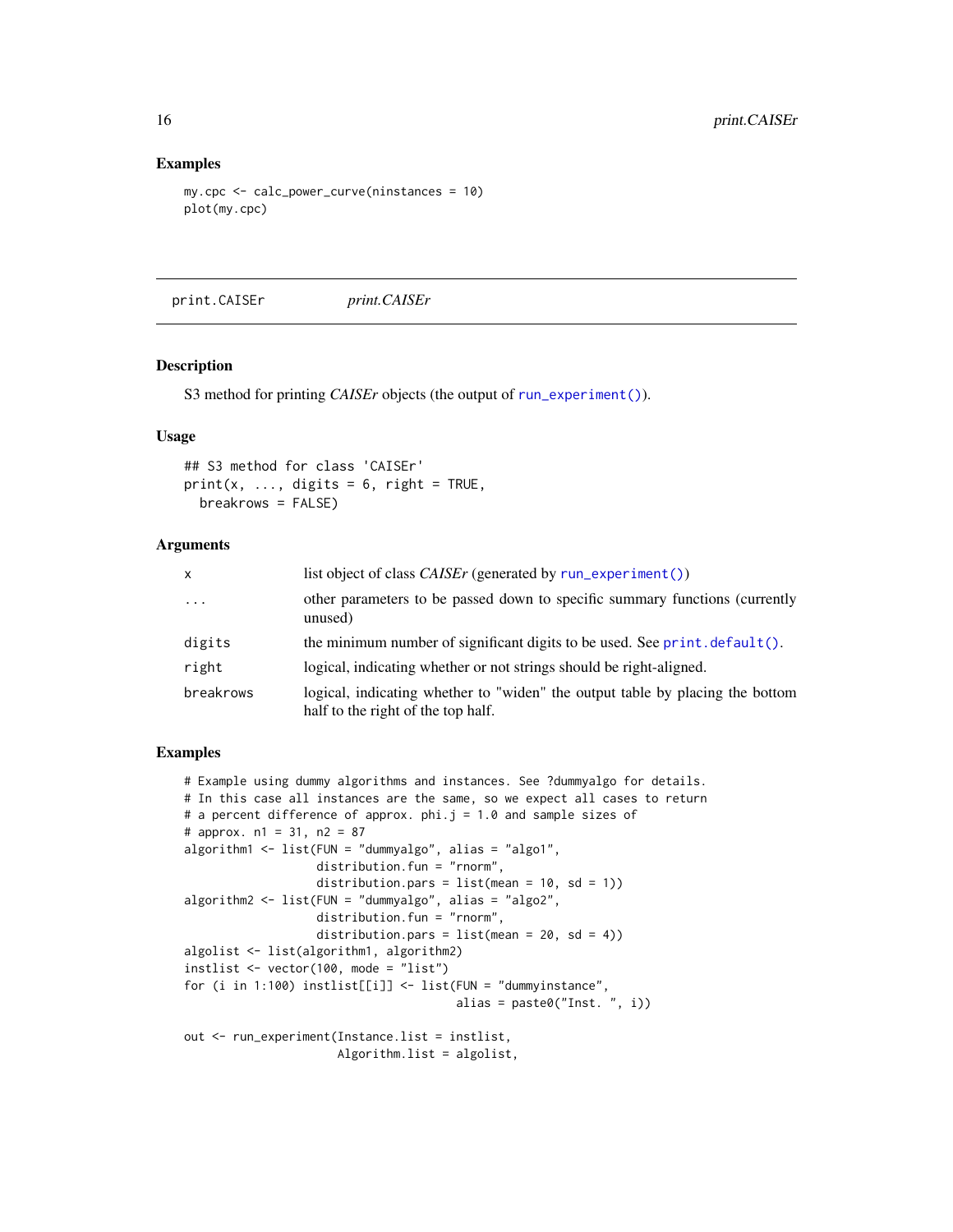#### Examples

```
my.cpc <- calc_power_curve(ninstances = 10)
plot(my.cpc)
```
print.CAISEr *print.CAISEr*

#### Description

S3 method for printing *CAISEr* objects (the output of [run\\_experiment\(\)](#page-16-1)).

## Usage

```
## S3 method for class 'CAISEr'
print(x, ..., digits = 6, right = TRUE,breakrows = FALSE)
```
## Arguments

| x         | list object of class <i>CAISEr</i> (generated by run_experiment())                                                  |
|-----------|---------------------------------------------------------------------------------------------------------------------|
| $\cdots$  | other parameters to be passed down to specific summary functions (currently<br>unused)                              |
| digits    | the minimum number of significant digits to be used. See $print.default()$ .                                        |
| right     | logical, indicating whether or not strings should be right-aligned.                                                 |
| breakrows | logical, indicating whether to "widen" the output table by placing the bottom<br>half to the right of the top half. |

## Examples

```
# Example using dummy algorithms and instances. See ?dummyalgo for details.
# In this case all instances are the same, so we expect all cases to return
# a percent difference of approx. phi.j = 1.0 and sample sizes of
# approx. n1 = 31, n2 = 87
algorithm1 \le list(FUN = "dummyalgo", alias = "algo1",
                   distribution.fun = "rnorm",
                   distribution.pars = list(\text{mean} = 10, \text{ sd} = 1))algorithm2 <- list(FUN = "dummyalgo", alias = "algo2",
                   distribution.fun = "rnorm",
                   distribution.pars = list(mean = 20, sd = 4))algolist <- list(algorithm1, algorithm2)
instlist <- vector(100, mode = "list")
for (i in 1:100) instlist[[i]] <- list(FUN = "dummyinstance",
                                       alias = past@("Inst. ", i))out <- run_experiment(Instance.list = instlist,
                      Algorithm.list = algolist,
```
<span id="page-15-0"></span>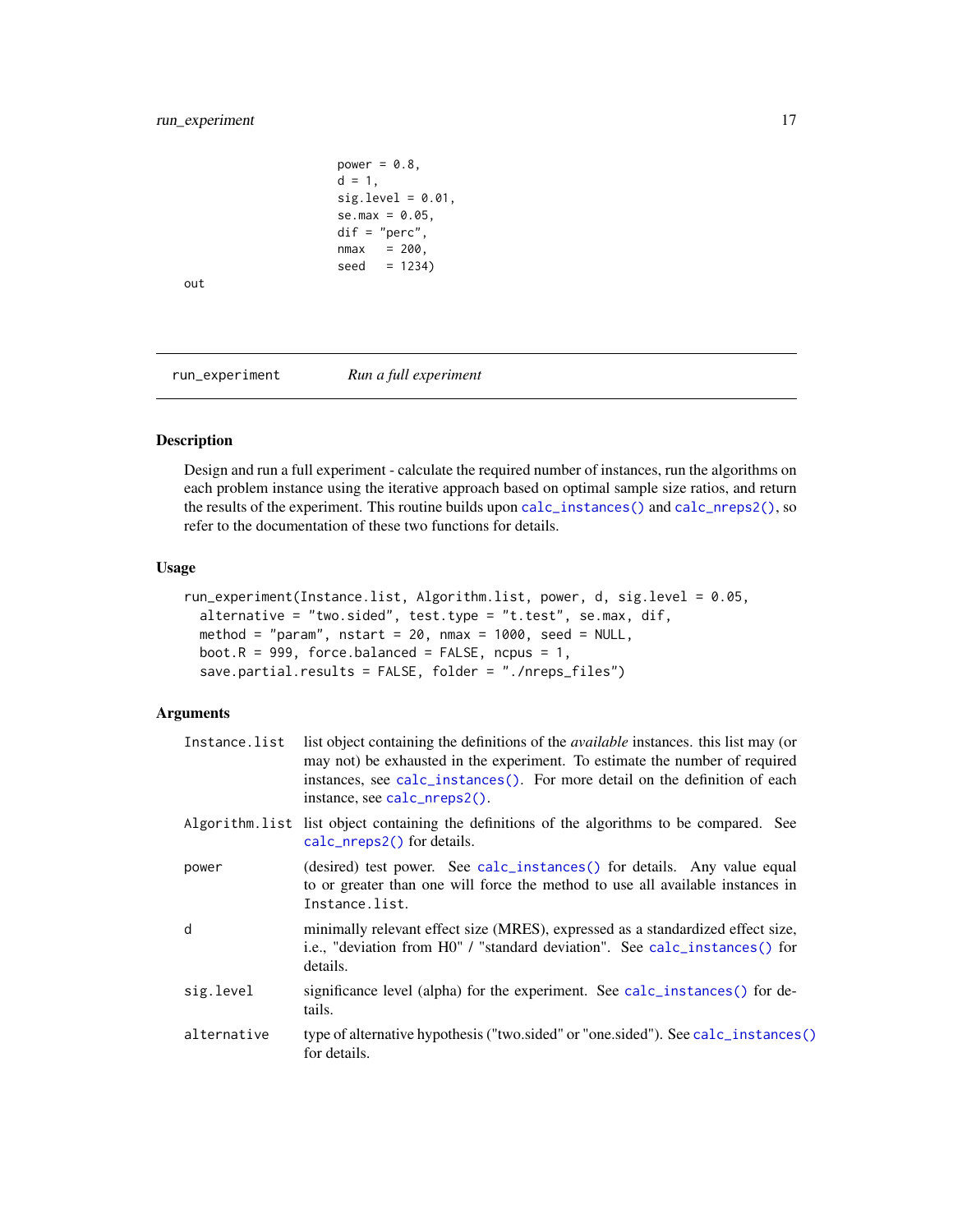```
power = 0.8,
d = 1,
sig.level = 0.01,
se.max = 0.05,
dif = "perc",
nmax = 200,seed = 1234)
```
<span id="page-16-0"></span>out

<span id="page-16-1"></span>run\_experiment *Run a full experiment*

## Description

Design and run a full experiment - calculate the required number of instances, run the algorithms on each problem instance using the iterative approach based on optimal sample size ratios, and return the results of the experiment. This routine builds upon [calc\\_instances\(\)](#page-2-1) and [calc\\_nreps2\(\)](#page-3-1), so refer to the documentation of these two functions for details.

## Usage

```
run_experiment(Instance.list, Algorithm.list, power, d, sig.level = 0.05,
  alternative = "two.sided", test.type = "t.test", se.max, dif,
 method = "param", nstart = 20, nmax = 1000, seed = NULL,
 boot.R = 999, force.balanced = FALSE, ncpus = 1,
  save.partial.results = FALSE, folder = "./nreps_files")
```

| Instance.list | list object containing the definitions of the <i>available</i> instances, this list may (or<br>may not) be exhausted in the experiment. To estimate the number of required<br>instances, see calc_instances(). For more detail on the definition of each<br>instance, see calc_nreps2(). |
|---------------|------------------------------------------------------------------------------------------------------------------------------------------------------------------------------------------------------------------------------------------------------------------------------------------|
|               | Algorithm. list list object containing the definitions of the algorithms to be compared. See<br>calc_nreps2() for details.                                                                                                                                                               |
| power         | (desired) test power. See calc_instances() for details. Any value equal<br>to or greater than one will force the method to use all available instances in<br>Instance.list.                                                                                                              |
| d             | minimally relevant effect size (MRES), expressed as a standardized effect size,<br>i.e., "deviation from H0" / "standard deviation". See calc_instances() for<br>details.                                                                                                                |
| sig.level     | significance level (alpha) for the experiment. See calc_instances() for de-<br>tails.                                                                                                                                                                                                    |
| alternative   | type of alternative hypothesis ("two.sided" or "one.sided"). See calc_instances()<br>for details.                                                                                                                                                                                        |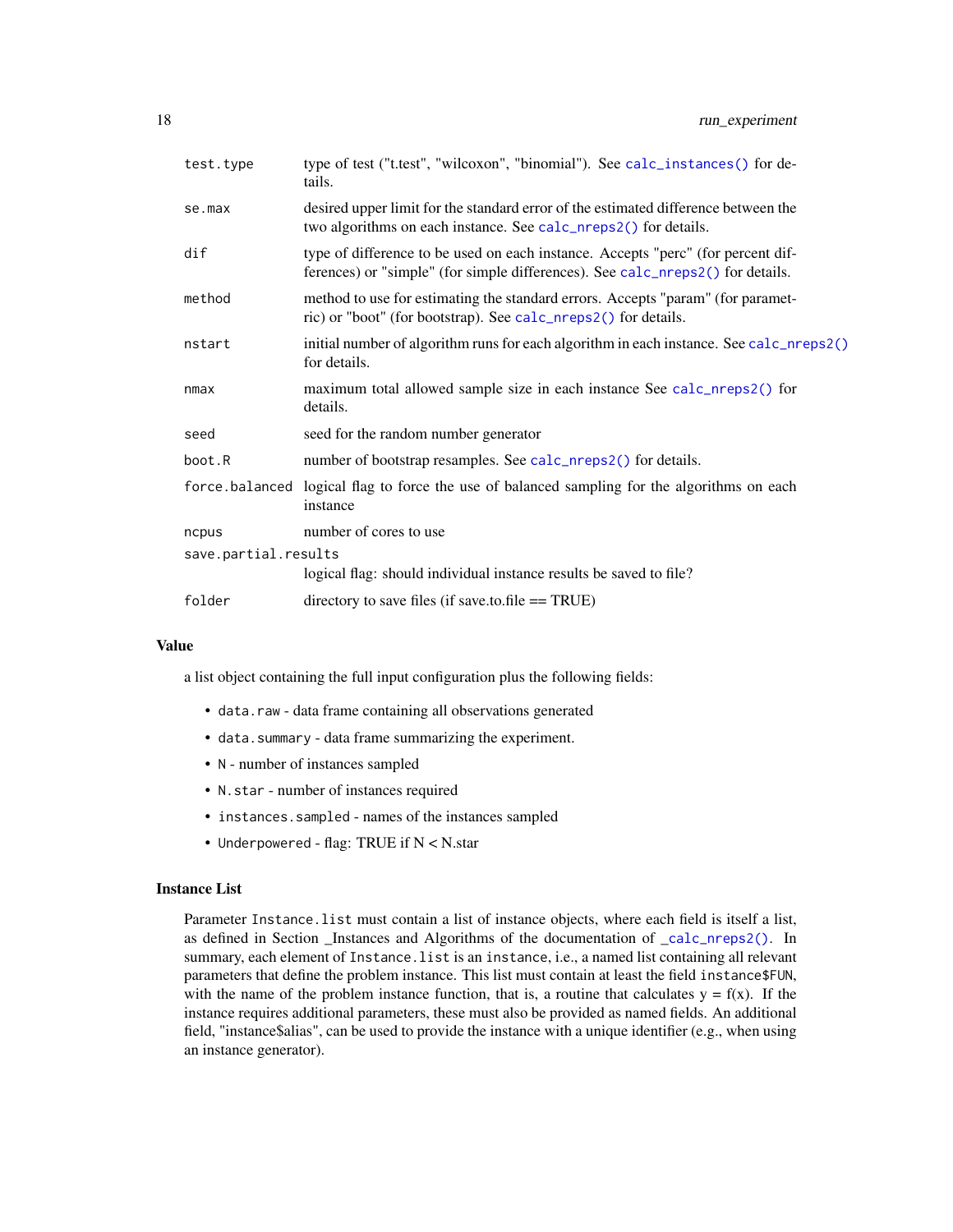<span id="page-17-0"></span>

| test.type            | type of test ("t.test", "wilcoxon", "binomial"). See calc_instances() for de-<br>tails.                                                                            |  |  |
|----------------------|--------------------------------------------------------------------------------------------------------------------------------------------------------------------|--|--|
| se.max               | desired upper limit for the standard error of the estimated difference between the<br>two algorithms on each instance. See calc_nreps2() for details.              |  |  |
| dif                  | type of difference to be used on each instance. Accepts "perc" (for percent dif-<br>ferences) or "simple" (for simple differences). See calc_nreps2() for details. |  |  |
| method               | method to use for estimating the standard errors. Accepts "param" (for paramet-<br>ric) or "boot" (for bootstrap). See calc_nreps2() for details.                  |  |  |
| nstart               | initial number of algorithm runs for each algorithm in each instance. See calc_nreps2()<br>for details.                                                            |  |  |
| nmax                 | maximum total allowed sample size in each instance See calc_nreps2() for<br>details.                                                                               |  |  |
| seed                 | seed for the random number generator                                                                                                                               |  |  |
| boot.R               | number of bootstrap resamples. See calc_nreps2() for details.                                                                                                      |  |  |
|                      | force balanced logical flag to force the use of balanced sampling for the algorithms on each<br>instance                                                           |  |  |
| ncpus                | number of cores to use                                                                                                                                             |  |  |
| save.partial.results |                                                                                                                                                                    |  |  |
|                      | logical flag: should individual instance results be saved to file?                                                                                                 |  |  |
| folder               | directory to save files (if save.to.file $==$ TRUE)                                                                                                                |  |  |
|                      |                                                                                                                                                                    |  |  |

## Value

a list object containing the full input configuration plus the following fields:

- data.raw data frame containing all observations generated
- data.summary data frame summarizing the experiment.
- N number of instances sampled
- N.star number of instances required
- instances.sampled names of the instances sampled
- Underpowered flag: TRUE if N < N.star

#### Instance List

Parameter Instance.list must contain a list of instance objects, where each field is itself a list, as defined in Section \_Instances and Algorithms of the documentation of \_[calc\\_nreps2\(\)](#page-3-1). In summary, each element of Instance.list is an instance, i.e., a named list containing all relevant parameters that define the problem instance. This list must contain at least the field instance\$FUN, with the name of the problem instance function, that is, a routine that calculates  $y = f(x)$ . If the instance requires additional parameters, these must also be provided as named fields. An additional field, "instance\$alias", can be used to provide the instance with a unique identifier (e.g., when using an instance generator).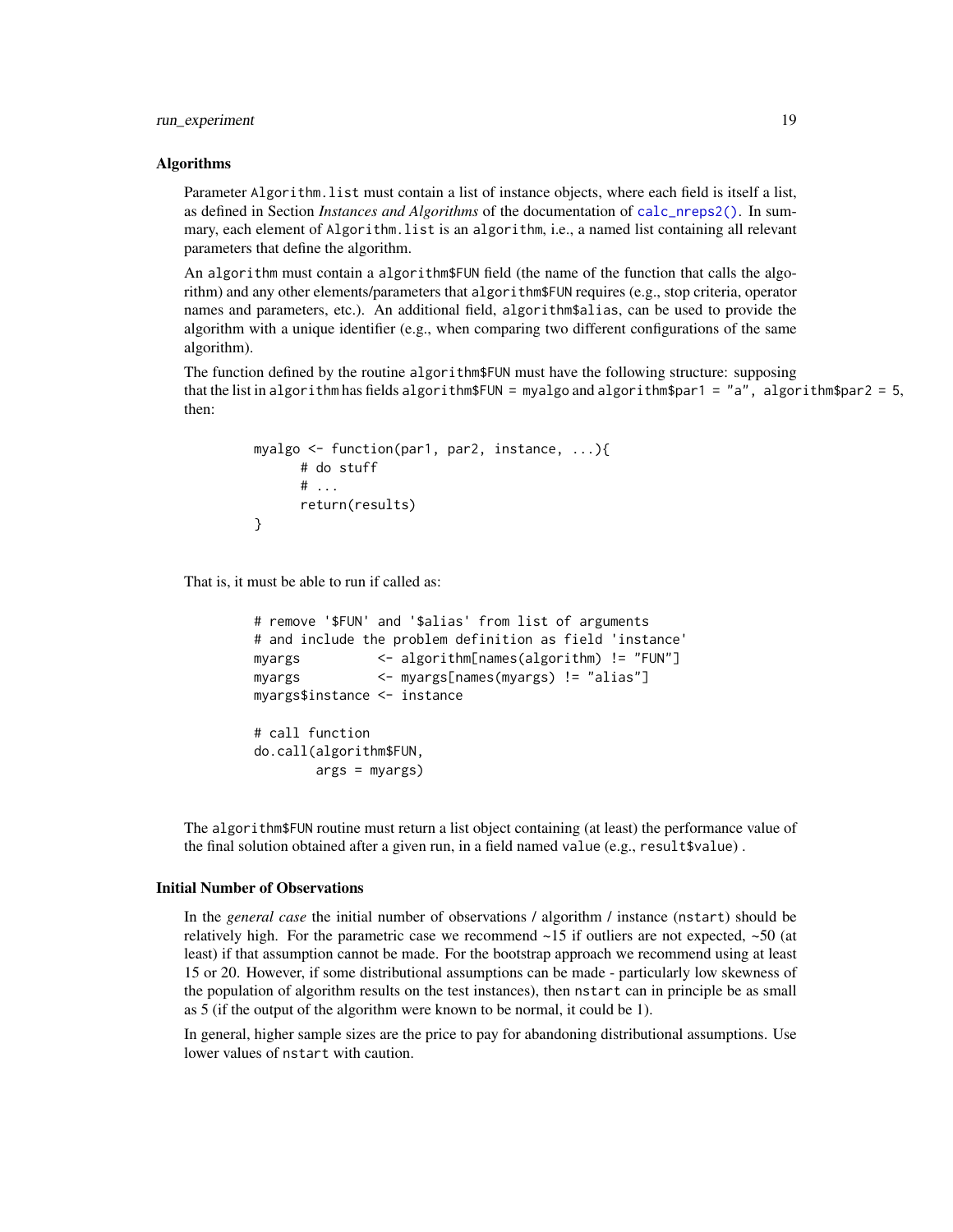## <span id="page-18-0"></span>run\_experiment 19

#### Algorithms

Parameter Algorithm.list must contain a list of instance objects, where each field is itself a list, as defined in Section *Instances and Algorithms* of the documentation of [calc\\_nreps2\(\)](#page-3-1). In summary, each element of Algorithm.list is an algorithm, i.e., a named list containing all relevant parameters that define the algorithm.

An algorithm must contain a algorithm\$FUN field (the name of the function that calls the algorithm) and any other elements/parameters that algorithm\$FUN requires (e.g., stop criteria, operator names and parameters, etc.). An additional field, algorithm\$alias, can be used to provide the algorithm with a unique identifier (e.g., when comparing two different configurations of the same algorithm).

The function defined by the routine algorithm\$FUN must have the following structure: supposing that the list in algorithm has fields algorithm\$FUN = myalgo and algorithm\$par1 = "a", algorithm\$par2 = 5, then:

```
myalgo <- function(par1, par2, instance, ...){
      # do stuff
      # ...
      return(results)
}
```
That is, it must be able to run if called as:

```
# remove '$FUN' and '$alias' from list of arguments
# and include the problem definition as field 'instance'
myargs <- algorithm[names(algorithm) != "FUN"]
myargs <- myargs[names(myargs) != "alias"]
myargs$instance <- instance
# call function
do.call(algorithm$FUN,
       args = myargs)
```
The algorithm\$FUN routine must return a list object containing (at least) the performance value of the final solution obtained after a given run, in a field named value (e.g., result\$value) .

#### Initial Number of Observations

In the *general case* the initial number of observations / algorithm / instance (nstart) should be relatively high. For the parametric case we recommend  $\sim$ 15 if outliers are not expected,  $\sim$ 50 (at least) if that assumption cannot be made. For the bootstrap approach we recommend using at least 15 or 20. However, if some distributional assumptions can be made - particularly low skewness of the population of algorithm results on the test instances), then nstart can in principle be as small as 5 (if the output of the algorithm were known to be normal, it could be 1).

In general, higher sample sizes are the price to pay for abandoning distributional assumptions. Use lower values of nstart with caution.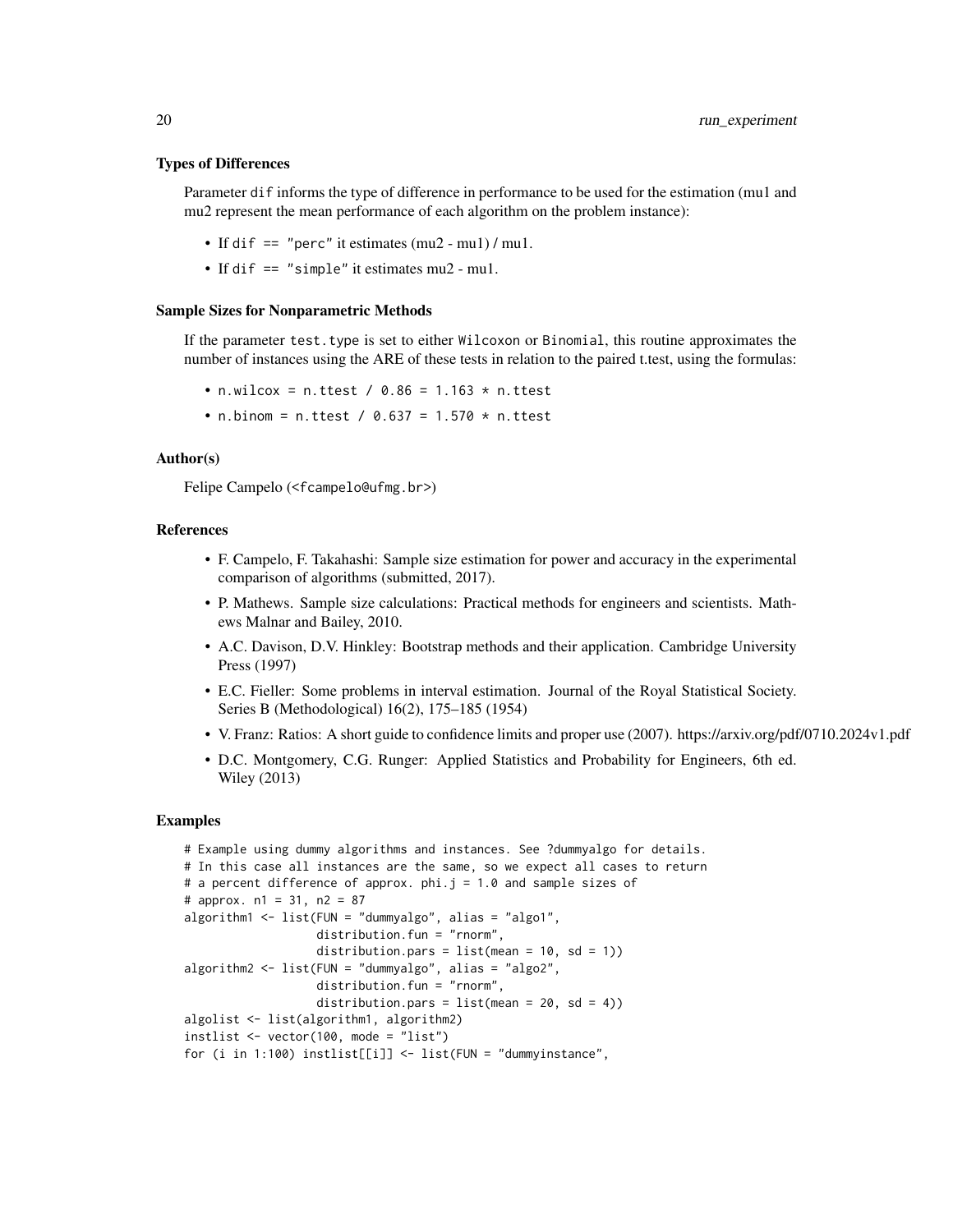#### Types of Differences

Parameter dif informs the type of difference in performance to be used for the estimation (mu1 and mu2 represent the mean performance of each algorithm on the problem instance):

- If dif == "perc" it estimates (mu2 mu1) / mu1.
- If dif == "simple" it estimates mu2 mu1.

#### Sample Sizes for Nonparametric Methods

If the parameter test.type is set to either Wilcoxon or Binomial, this routine approximates the number of instances using the ARE of these tests in relation to the paired t.test, using the formulas:

- n.wilcox = n.ttest /  $0.86 = 1.163 * n.$ ttest
- n.binom = n.ttest / 0.637 = 1.570  $*$  n.ttest

#### Author(s)

Felipe Campelo (<fcampelo@ufmg.br>)

## References

- F. Campelo, F. Takahashi: Sample size estimation for power and accuracy in the experimental comparison of algorithms (submitted, 2017).
- P. Mathews. Sample size calculations: Practical methods for engineers and scientists. Mathews Malnar and Bailey, 2010.
- A.C. Davison, D.V. Hinkley: Bootstrap methods and their application. Cambridge University Press (1997)
- E.C. Fieller: Some problems in interval estimation. Journal of the Royal Statistical Society. Series B (Methodological) 16(2), 175–185 (1954)
- V. Franz: Ratios: A short guide to confidence limits and proper use (2007). https://arxiv.org/pdf/0710.2024v1.pdf
- D.C. Montgomery, C.G. Runger: Applied Statistics and Probability for Engineers, 6th ed. Wiley (2013)

#### Examples

```
# Example using dummy algorithms and instances. See ?dummyalgo for details.
# In this case all instances are the same, so we expect all cases to return
# a percent difference of approx. phi.j = 1.0 and sample sizes of
# approx. n1 = 31, n2 = 87
algorithm1 <- list(FUN = "dummyalgo", alias = "algo1",
                   distribution.fun = "rnorm",
                   distribution.pars = list(mean = 10, sd = 1))algorithm2 <- list(FUN = "dummyalgo", alias = "algo2",
                   distribution.fun = "rnorm",
                   distribution.pars = list(mean = 20, sd = 4))algolist <- list(algorithm1, algorithm2)
instlist <- vector(100, mode = "list")
for (i in 1:100) instlist[[i]] \leftarrow list(FUN = "dummy instance",
```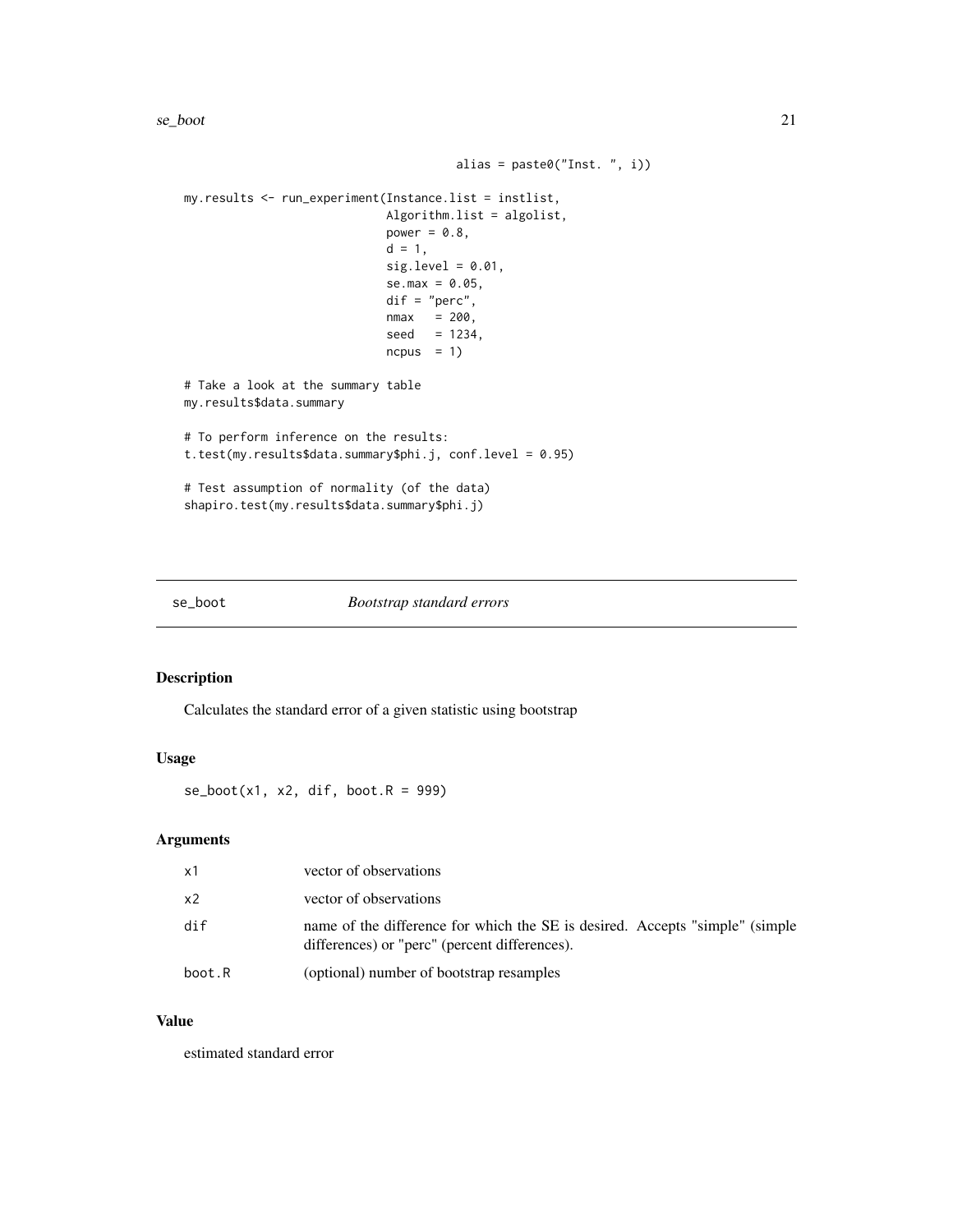```
alias = paste0("Inst. ", i))
my.results <- run_experiment(Instance.list = instlist,
                            Algorithm.list = algolist,
                            power = 0.8,
                            d = 1,sig. level = 0.01,se.max = 0.05,
                            dif = "perc",nmax = 200,seed = 1234,ncpus = 1# Take a look at the summary table
my.results$data.summary
# To perform inference on the results:
t.test(my.results$data.summary$phi.j, conf.level = 0.95)
# Test assumption of normality (of the data)
shapiro.test(my.results$data.summary$phi.j)
```
<span id="page-20-1"></span>

#### se\_boot *Bootstrap standard errors*

#### Description

Calculates the standard error of a given statistic using bootstrap

#### Usage

 $se\_boot(x1, x2, dif, boot.R = 999)$ 

## Arguments

| x1             | vector of observations                                                                                                        |
|----------------|-------------------------------------------------------------------------------------------------------------------------------|
| x <sub>2</sub> | vector of observations                                                                                                        |
| dir            | name of the difference for which the SE is desired. Accepts "simple" (simple<br>differences) or "perc" (percent differences). |
| boot.R         | (optional) number of bootstrap resamples                                                                                      |

#### Value

estimated standard error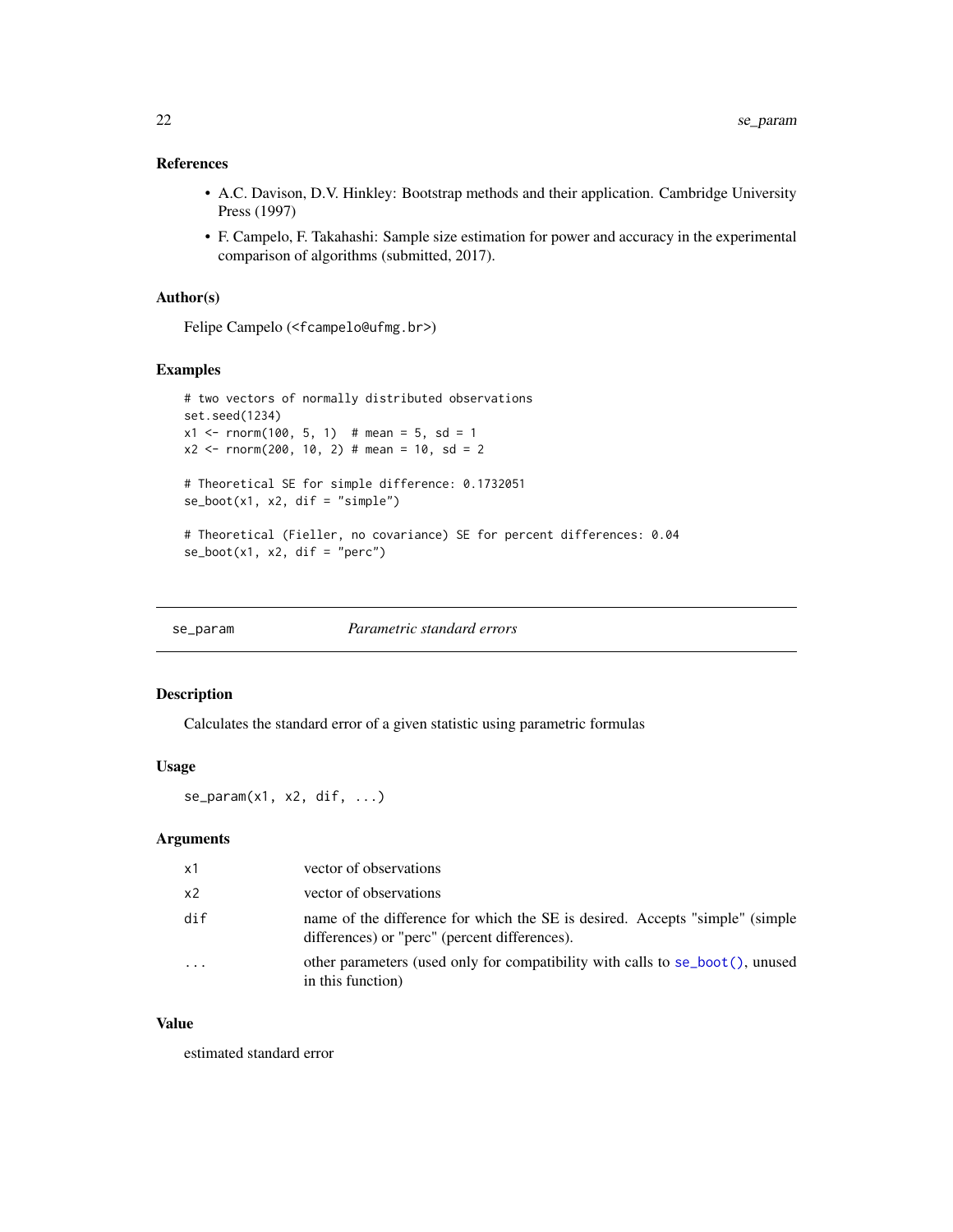## <span id="page-21-0"></span>References

- A.C. Davison, D.V. Hinkley: Bootstrap methods and their application. Cambridge University Press (1997)
- F. Campelo, F. Takahashi: Sample size estimation for power and accuracy in the experimental comparison of algorithms (submitted, 2017).

## Author(s)

Felipe Campelo (<fcampelo@ufmg.br>)

## Examples

```
# two vectors of normally distributed observations
set.seed(1234)
x1 \le - rnorm(100, 5, 1) # mean = 5, sd = 1
x2 \le - rnorm(200, 10, 2) # mean = 10, sd = 2
# Theoretical SE for simple difference: 0.1732051
se\_boot(x1, x2, dif = "simple")# Theoretical (Fieller, no covariance) SE for percent differences: 0.04
se\_boot(x1, x2, dif = "perc")
```

| Parametric standard errors<br>se_param |
|----------------------------------------|
|----------------------------------------|

#### Description

Calculates the standard error of a given statistic using parametric formulas

## Usage

```
se_param(x1, x2, dif, ...)
```
## Arguments

| x1                      | vector of observations                                                                                                        |
|-------------------------|-------------------------------------------------------------------------------------------------------------------------------|
| x2                      | vector of observations                                                                                                        |
| dif                     | name of the difference for which the SE is desired. Accepts "simple" (simple<br>differences) or "perc" (percent differences). |
| $\cdot$ $\cdot$ $\cdot$ | other parameters (used only for compatibility with calls to $se\_boot()$ , unused<br>in this function)                        |

## Value

estimated standard error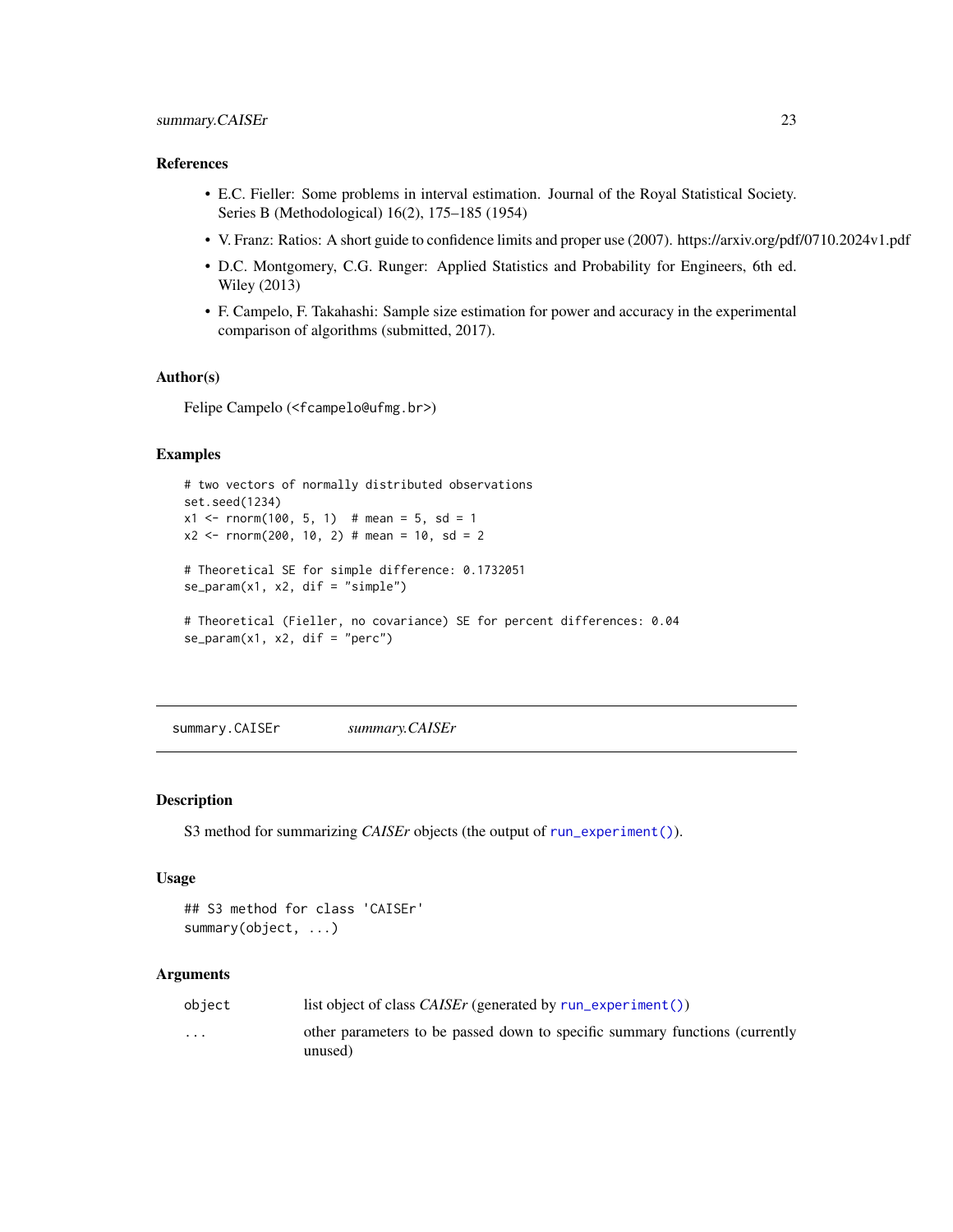#### <span id="page-22-0"></span>References

- E.C. Fieller: Some problems in interval estimation. Journal of the Royal Statistical Society. Series B (Methodological) 16(2), 175–185 (1954)
- V. Franz: Ratios: A short guide to confidence limits and proper use (2007). https://arxiv.org/pdf/0710.2024v1.pdf
- D.C. Montgomery, C.G. Runger: Applied Statistics and Probability for Engineers, 6th ed. Wiley (2013)
- F. Campelo, F. Takahashi: Sample size estimation for power and accuracy in the experimental comparison of algorithms (submitted, 2017).

#### Author(s)

Felipe Campelo (<fcampelo@ufmg.br>)

## Examples

```
# two vectors of normally distributed observations
set.seed(1234)
x1 \le rnorm(100, 5, 1) # mean = 5, sd = 1
x2 \le rnorm(200, 10, 2) # mean = 10, sd = 2
# Theoretical SE for simple difference: 0.1732051
se\_param(x1, x2, dif = "simple")# Theoretical (Fieller, no covariance) SE for percent differences: 0.04
se\_param(x1, x2, dif = "perc")
```
summary.CAISEr *summary.CAISEr*

#### Description

S3 method for summarizing *CAISEr* objects (the output of [run\\_experiment\(\)](#page-16-1)).

#### Usage

```
## S3 method for class 'CAISEr'
summary(object, ...)
```

| object  | list object of class <i>CAISEr</i> (generated by $run$ experiment ())                  |
|---------|----------------------------------------------------------------------------------------|
| $\cdot$ | other parameters to be passed down to specific summary functions (currently<br>unused) |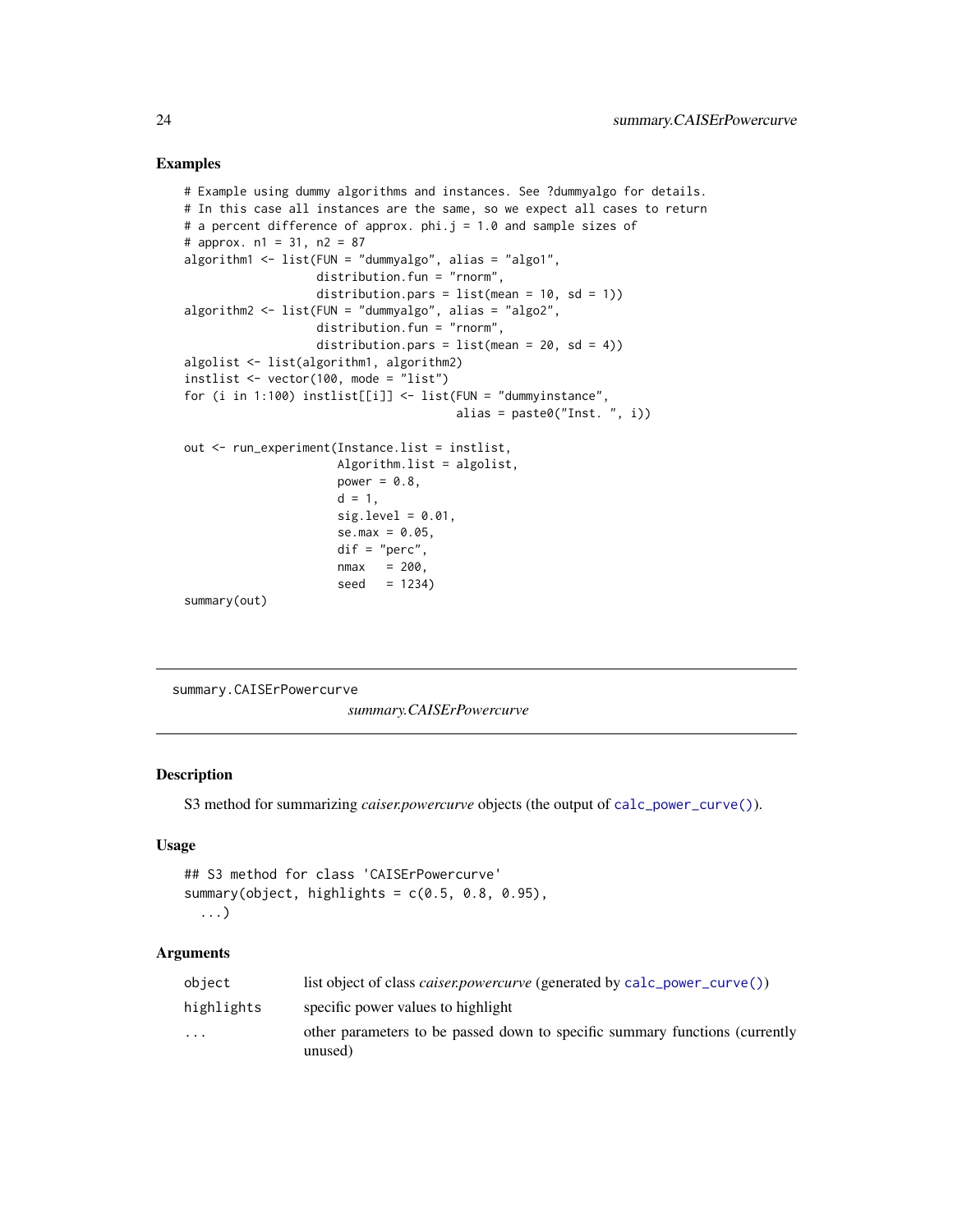#### Examples

```
# Example using dummy algorithms and instances. See ?dummyalgo for details.
# In this case all instances are the same, so we expect all cases to return
# a percent difference of approx. phi.j = 1.0 and sample sizes of
# approx. n1 = 31, n2 = 87
algorithm1 <- list(FUN = "dummyalgo", alias = "algo1",
                   distribution.fun = "rnorm",
                   distribution.pars = list(mean = 10, sd = 1))algorithm2 <- list(FUN = "dummyalgo", alias = "algo2",
                   distribution.fun = "rnorm",
                   distribution.pars = list(mean = 20, sd = 4))algolist <- list(algorithm1, algorithm2)
instlist <- vector(100, mode = "list")
for (i in 1:100) instlist[[i]] \leftarrow list(FUN = "dummyinstance",alias = paste0("Inst. ", i))
out <- run_experiment(Instance.list = instlist,
                      Algorithm.list = algolist,
                      power = 0.8,
                      d = 1,
                      sig. level = 0.01,se.max = 0.05,
                      dif = "perc",nmax = 200,seed = 1234)summary(out)
```

```
summary.CAISErPowercurve
```
*summary.CAISErPowercurve*

## Description

S3 method for summarizing *caiser.powercurve* objects (the output of [calc\\_power\\_curve\(\)](#page-8-1)).

#### Usage

```
## S3 method for class 'CAISErPowercurve'
summary(object, highlights = c(0.5, 0.8, 0.95),
  ...)
```

| object     | list object of class <i>caiser.powercurve</i> (generated by calc_power_curve())        |
|------------|----------------------------------------------------------------------------------------|
| highlights | specific power values to highlight                                                     |
| $\ddotsc$  | other parameters to be passed down to specific summary functions (currently<br>unused) |

<span id="page-23-0"></span>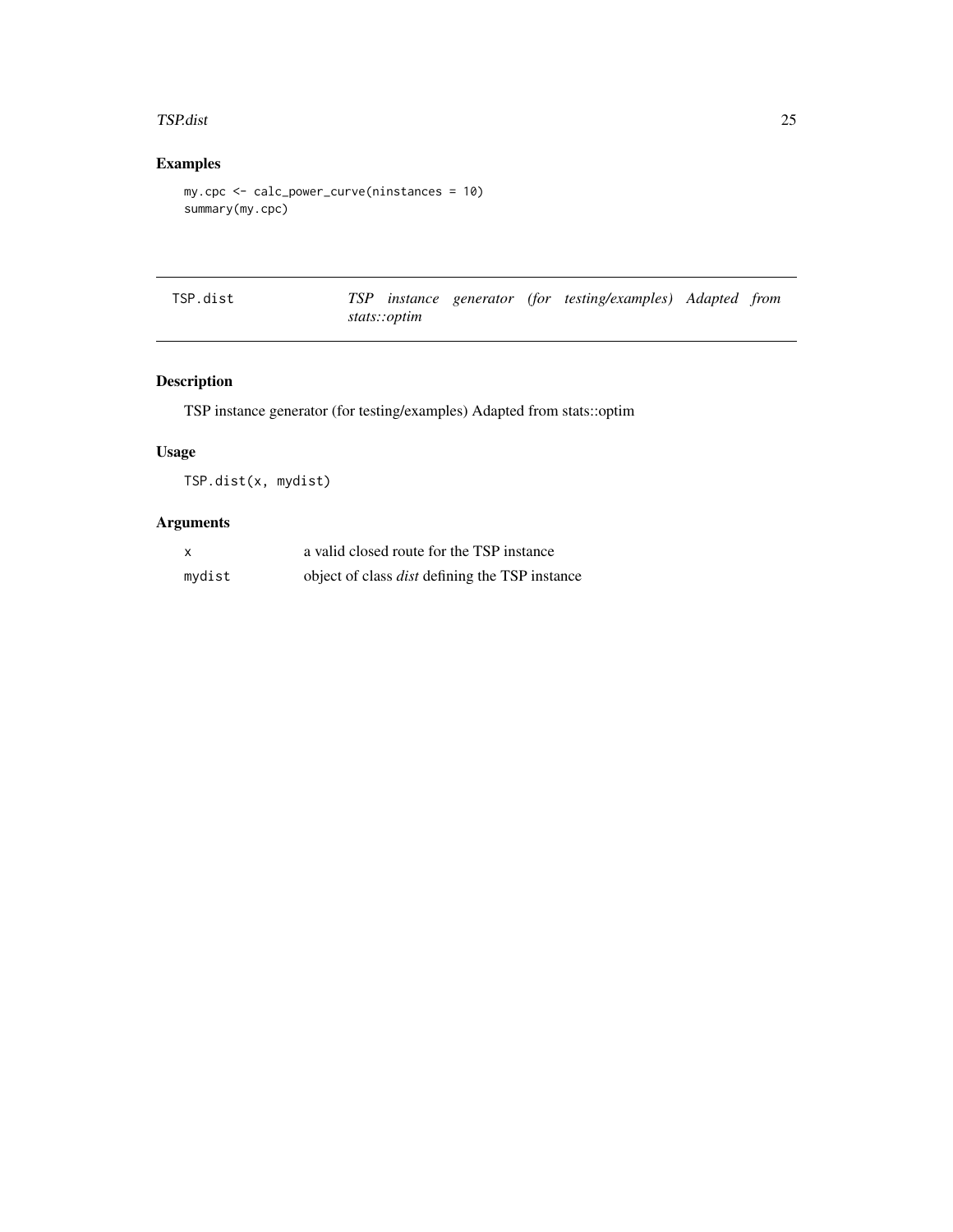#### <span id="page-24-0"></span>TSP.dist 25

## Examples

```
my.cpc <- calc_power_curve(ninstances = 10)
summary(my.cpc)
```

| TSP.dist |              |  | TSP instance generator (for testing/examples) Adapted from |  |
|----------|--------------|--|------------------------------------------------------------|--|
|          | stats::optim |  |                                                            |  |

## Description

TSP instance generator (for testing/examples) Adapted from stats::optim

## Usage

TSP.dist(x, mydist)

| $\boldsymbol{\mathsf{x}}$ | a valid closed route for the TSP instance             |
|---------------------------|-------------------------------------------------------|
| mydist                    | object of class <i>dist</i> defining the TSP instance |